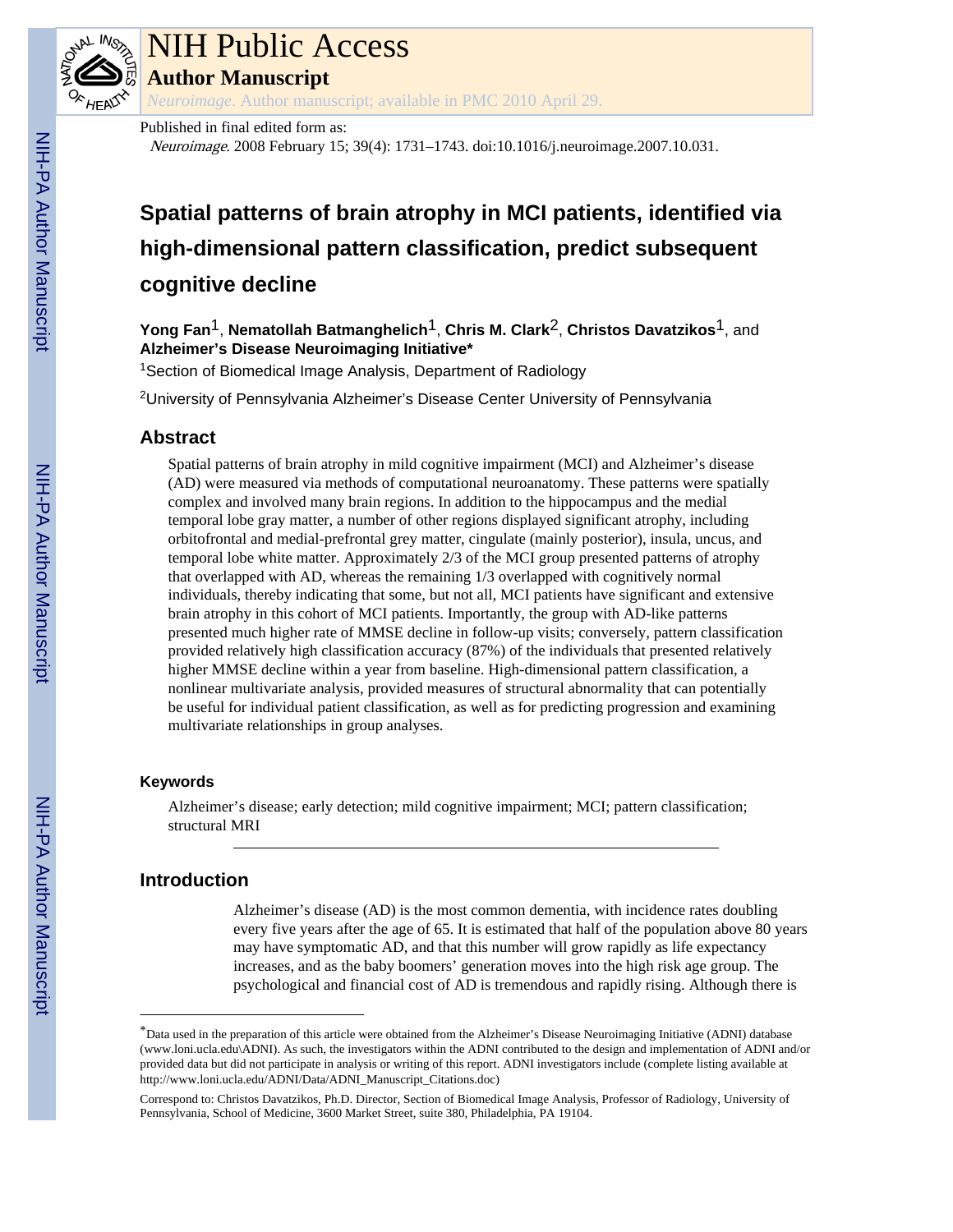

# NIH Public Access

**Author Manuscript**

*Neuroimage*. Author manuscript; available in PMC 2010 April 29.

Published in final edited form as:

Neuroimage. 2008 February 15; 39(4): 1731–1743. doi:10.1016/j.neuroimage.2007.10.031.

## **Spatial patterns of brain atrophy in MCI patients, identified via high-dimensional pattern classification, predict subsequent cognitive decline**

**Yong Fan**1, **Nematollah Batmanghelich**1, **Chris M. Clark**2, **Christos Davatzikos**1, and **Alzheimer's Disease Neuroimaging Initiative\***

<sup>1</sup>Section of Biomedical Image Analysis, Department of Radiology

<sup>2</sup>University of Pennsylvania Alzheimer's Disease Center University of Pennsylvania

## **Abstract**

Spatial patterns of brain atrophy in mild cognitive impairment (MCI) and Alzheimer's disease (AD) were measured via methods of computational neuroanatomy. These patterns were spatially complex and involved many brain regions. In addition to the hippocampus and the medial temporal lobe gray matter, a number of other regions displayed significant atrophy, including orbitofrontal and medial-prefrontal grey matter, cingulate (mainly posterior), insula, uncus, and temporal lobe white matter. Approximately 2/3 of the MCI group presented patterns of atrophy that overlapped with AD, whereas the remaining 1/3 overlapped with cognitively normal individuals, thereby indicating that some, but not all, MCI patients have significant and extensive brain atrophy in this cohort of MCI patients. Importantly, the group with AD-like patterns presented much higher rate of MMSE decline in follow-up visits; conversely, pattern classification provided relatively high classification accuracy (87%) of the individuals that presented relatively higher MMSE decline within a year from baseline. High-dimensional pattern classification, a nonlinear multivariate analysis, provided measures of structural abnormality that can potentially be useful for individual patient classification, as well as for predicting progression and examining multivariate relationships in group analyses.

## **Keywords**

Alzheimer's disease; early detection; mild cognitive impairment; MCI; pattern classification; structural MRI

## **Introduction**

Alzheimer's disease (AD) is the most common dementia, with incidence rates doubling every five years after the age of 65. It is estimated that half of the population above 80 years may have symptomatic AD, and that this number will grow rapidly as life expectancy increases, and as the baby boomers' generation moves into the high risk age group. The psychological and financial cost of AD is tremendous and rapidly rising. Although there is

<sup>\*</sup>Data used in the preparation of this article were obtained from the Alzheimer's Disease Neuroimaging Initiative (ADNI) database (www.loni.ucla.edu\ADNI). As such, the investigators within the ADNI contributed to the design and implementation of ADNI and/or provided data but did not participate in analysis or writing of this report. ADNI investigators include (complete listing available at [http://www.loni.ucla.edu/ADNI/Data/ADNI\\_Manuscript\\_Citations.doc](http://www.loni.ucla.edu/ADNI/Data/ADNI_Manuscript_Citations.doc))

Correspond to: Christos Davatzikos, Ph.D. Director, Section of Biomedical Image Analysis, Professor of Radiology, University of Pennsylvania, School of Medicine, 3600 Market Street, suite 380, Philadelphia, PA 19104.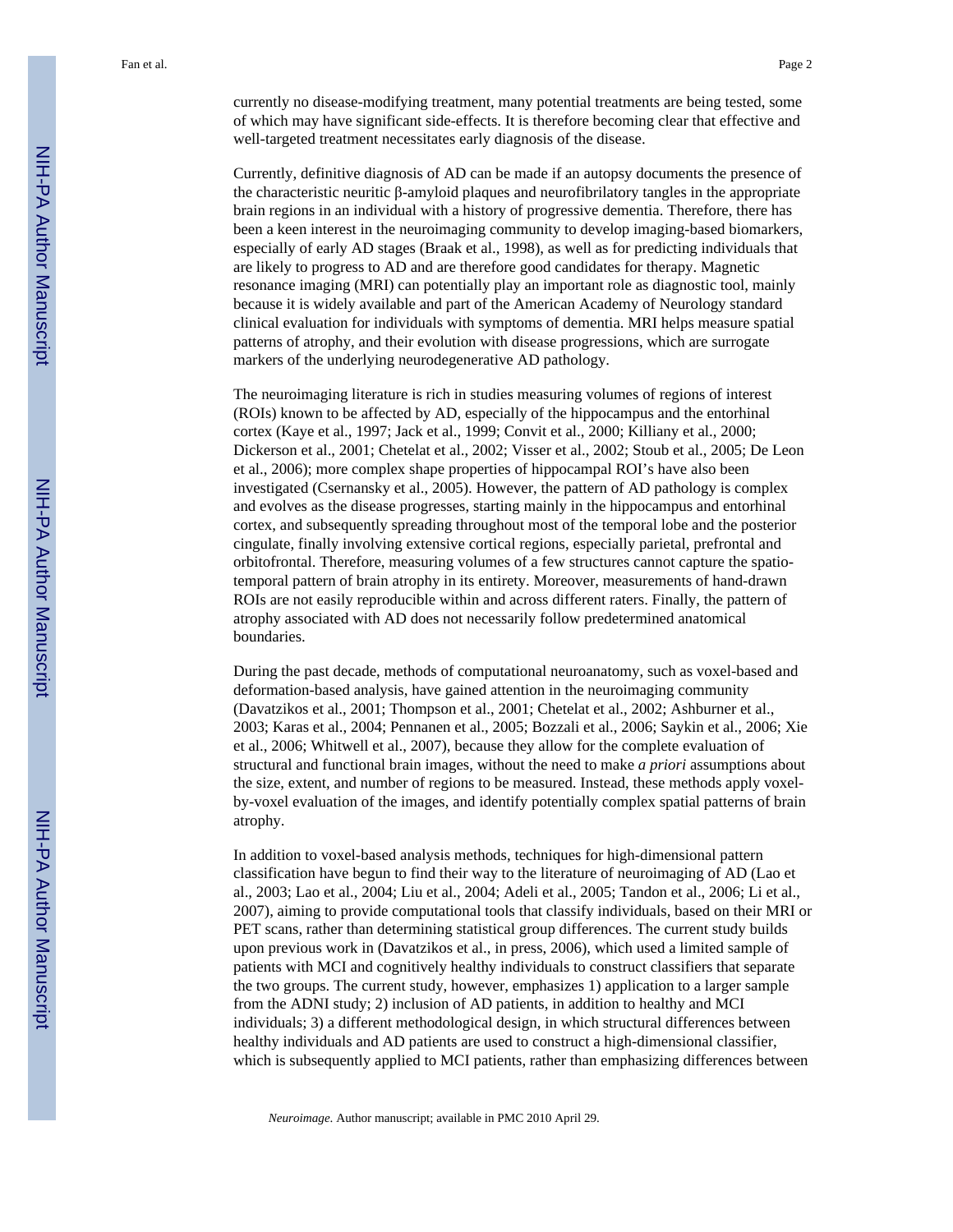currently no disease-modifying treatment, many potential treatments are being tested, some of which may have significant side-effects. It is therefore becoming clear that effective and well-targeted treatment necessitates early diagnosis of the disease.

Currently, definitive diagnosis of AD can be made if an autopsy documents the presence of the characteristic neuritic β-amyloid plaques and neurofibrilatory tangles in the appropriate brain regions in an individual with a history of progressive dementia. Therefore, there has been a keen interest in the neuroimaging community to develop imaging-based biomarkers, especially of early AD stages (Braak et al., 1998), as well as for predicting individuals that are likely to progress to AD and are therefore good candidates for therapy. Magnetic resonance imaging (MRI) can potentially play an important role as diagnostic tool, mainly because it is widely available and part of the American Academy of Neurology standard clinical evaluation for individuals with symptoms of dementia. MRI helps measure spatial patterns of atrophy, and their evolution with disease progressions, which are surrogate markers of the underlying neurodegenerative AD pathology.

The neuroimaging literature is rich in studies measuring volumes of regions of interest (ROIs) known to be affected by AD, especially of the hippocampus and the entorhinal cortex (Kaye et al., 1997; Jack et al., 1999; Convit et al., 2000; Killiany et al., 2000; Dickerson et al., 2001; Chetelat et al., 2002; Visser et al., 2002; Stoub et al., 2005; De Leon et al., 2006); more complex shape properties of hippocampal ROI's have also been investigated (Csernansky et al., 2005). However, the pattern of AD pathology is complex and evolves as the disease progresses, starting mainly in the hippocampus and entorhinal cortex, and subsequently spreading throughout most of the temporal lobe and the posterior cingulate, finally involving extensive cortical regions, especially parietal, prefrontal and orbitofrontal. Therefore, measuring volumes of a few structures cannot capture the spatiotemporal pattern of brain atrophy in its entirety. Moreover, measurements of hand-drawn ROIs are not easily reproducible within and across different raters. Finally, the pattern of atrophy associated with AD does not necessarily follow predetermined anatomical boundaries.

During the past decade, methods of computational neuroanatomy, such as voxel-based and deformation-based analysis, have gained attention in the neuroimaging community (Davatzikos et al., 2001; Thompson et al., 2001; Chetelat et al., 2002; Ashburner et al., 2003; Karas et al., 2004; Pennanen et al., 2005; Bozzali et al., 2006; Saykin et al., 2006; Xie et al., 2006; Whitwell et al., 2007), because they allow for the complete evaluation of structural and functional brain images, without the need to make *a priori* assumptions about the size, extent, and number of regions to be measured. Instead, these methods apply voxelby-voxel evaluation of the images, and identify potentially complex spatial patterns of brain atrophy.

In addition to voxel-based analysis methods, techniques for high-dimensional pattern classification have begun to find their way to the literature of neuroimaging of AD (Lao et al., 2003; Lao et al., 2004; Liu et al., 2004; Adeli et al., 2005; Tandon et al., 2006; Li et al., 2007), aiming to provide computational tools that classify individuals, based on their MRI or PET scans, rather than determining statistical group differences. The current study builds upon previous work in (Davatzikos et al., in press, 2006), which used a limited sample of patients with MCI and cognitively healthy individuals to construct classifiers that separate the two groups. The current study, however, emphasizes 1) application to a larger sample from the ADNI study; 2) inclusion of AD patients, in addition to healthy and MCI individuals; 3) a different methodological design, in which structural differences between healthy individuals and AD patients are used to construct a high-dimensional classifier, which is subsequently applied to MCI patients, rather than emphasizing differences between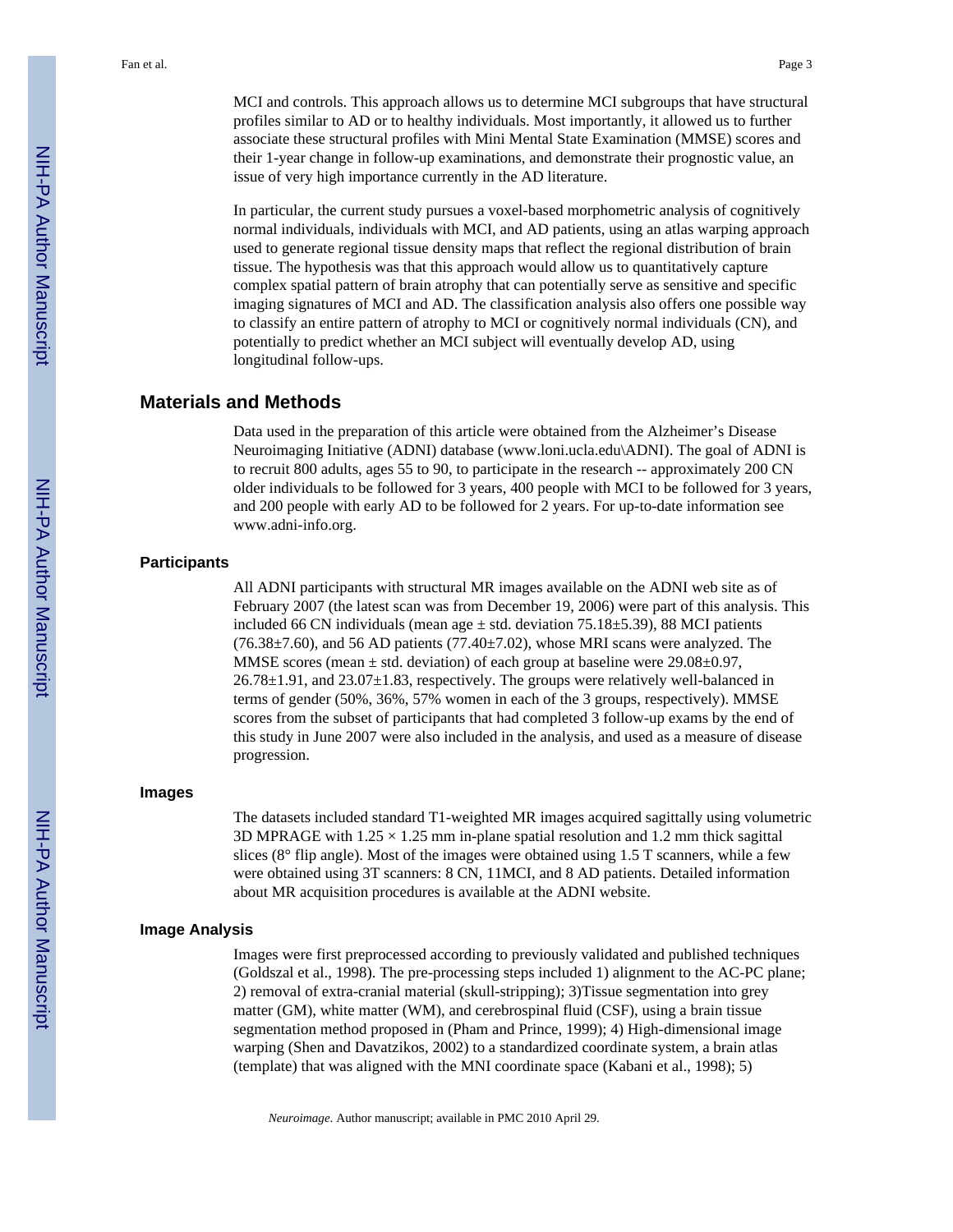MCI and controls. This approach allows us to determine MCI subgroups that have structural profiles similar to AD or to healthy individuals. Most importantly, it allowed us to further associate these structural profiles with Mini Mental State Examination (MMSE) scores and their 1-year change in follow-up examinations, and demonstrate their prognostic value, an issue of very high importance currently in the AD literature.

In particular, the current study pursues a voxel-based morphometric analysis of cognitively normal individuals, individuals with MCI, and AD patients, using an atlas warping approach used to generate regional tissue density maps that reflect the regional distribution of brain tissue. The hypothesis was that this approach would allow us to quantitatively capture complex spatial pattern of brain atrophy that can potentially serve as sensitive and specific imaging signatures of MCI and AD. The classification analysis also offers one possible way to classify an entire pattern of atrophy to MCI or cognitively normal individuals (CN), and potentially to predict whether an MCI subject will eventually develop AD, using longitudinal follow-ups.

## **Materials and Methods**

Data used in the preparation of this article were obtained from the Alzheimer's Disease Neuroimaging Initiative (ADNI) database (www.loni.ucla.edu\ADNI). The goal of ADNI is to recruit 800 adults, ages 55 to 90, to participate in the research -- approximately 200 CN older individuals to be followed for 3 years, 400 people with MCI to be followed for 3 years, and 200 people with early AD to be followed for 2 years. For up-to-date information see www.adni-info.org.

#### **Participants**

All ADNI participants with structural MR images available on the ADNI web site as of February 2007 (the latest scan was from December 19, 2006) were part of this analysis. This included 66 CN individuals (mean age  $\pm$  std. deviation 75.18 $\pm$ 5.39), 88 MCI patients  $(76.38\pm7.60)$ , and 56 AD patients  $(77.40\pm7.02)$ , whose MRI scans were analyzed. The MMSE scores (mean  $\pm$  std. deviation) of each group at baseline were 29.08 $\pm$ 0.97, 26.78±1.91, and 23.07±1.83, respectively. The groups were relatively well-balanced in terms of gender (50%, 36%, 57% women in each of the 3 groups, respectively). MMSE scores from the subset of participants that had completed 3 follow-up exams by the end of this study in June 2007 were also included in the analysis, and used as a measure of disease progression.

## **Images**

The datasets included standard T1-weighted MR images acquired sagittally using volumetric 3D MPRAGE with  $1.25 \times 1.25$  mm in-plane spatial resolution and 1.2 mm thick sagittal slices ( $8^\circ$  flip angle). Most of the images were obtained using 1.5 T scanners, while a few were obtained using 3T scanners: 8 CN, 11MCI, and 8 AD patients. Detailed information about MR acquisition procedures is available at the ADNI website.

#### **Image Analysis**

Images were first preprocessed according to previously validated and published techniques (Goldszal et al., 1998). The pre-processing steps included 1) alignment to the AC-PC plane; 2) removal of extra-cranial material (skull-stripping); 3)Tissue segmentation into grey matter (GM), white matter (WM), and cerebrospinal fluid (CSF), using a brain tissue segmentation method proposed in (Pham and Prince, 1999); 4) High-dimensional image warping (Shen and Davatzikos, 2002) to a standardized coordinate system, a brain atlas (template) that was aligned with the MNI coordinate space (Kabani et al., 1998); 5)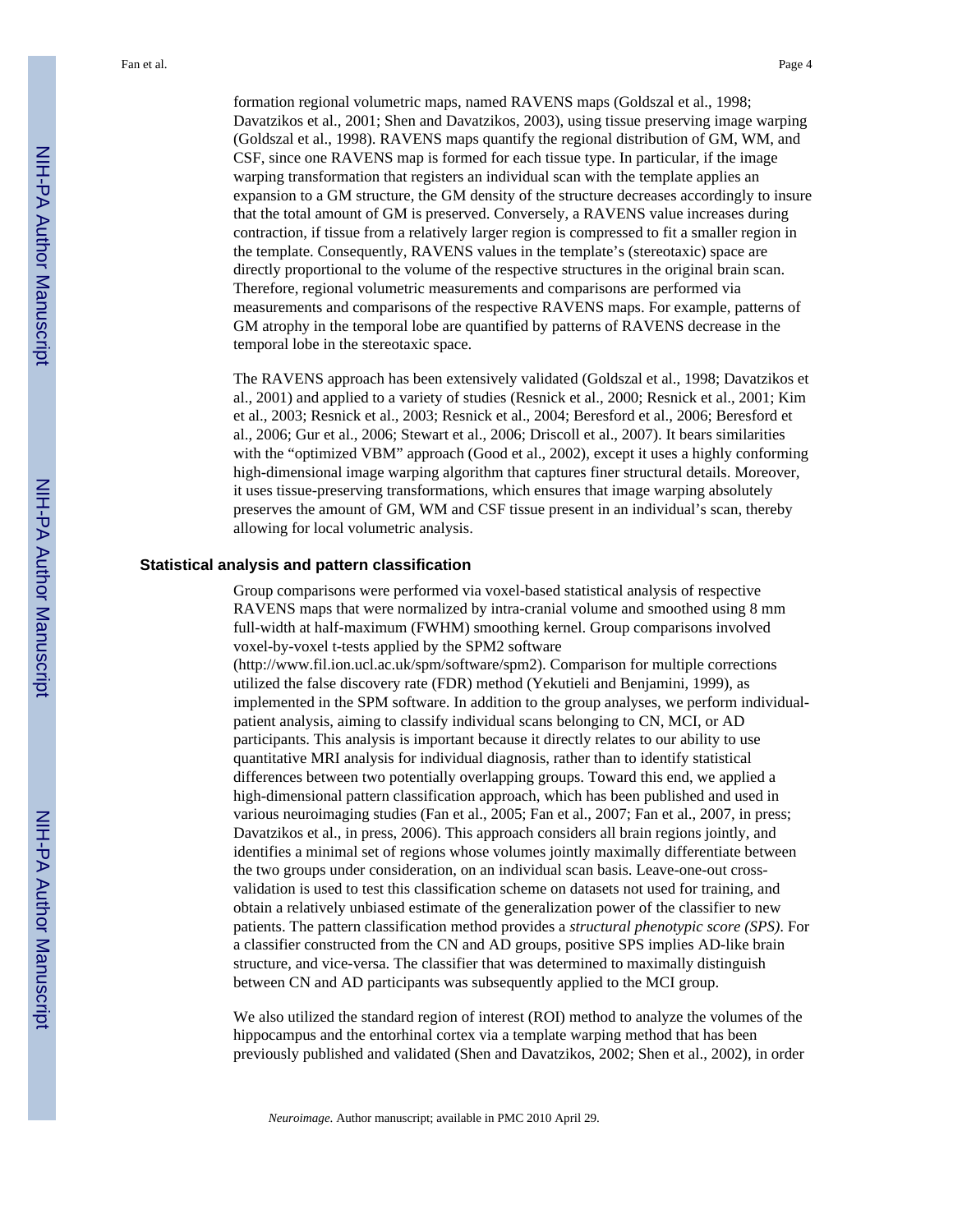formation regional volumetric maps, named RAVENS maps (Goldszal et al., 1998; Davatzikos et al., 2001; Shen and Davatzikos, 2003), using tissue preserving image warping (Goldszal et al., 1998). RAVENS maps quantify the regional distribution of GM, WM, and CSF, since one RAVENS map is formed for each tissue type. In particular, if the image warping transformation that registers an individual scan with the template applies an expansion to a GM structure, the GM density of the structure decreases accordingly to insure that the total amount of GM is preserved. Conversely, a RAVENS value increases during contraction, if tissue from a relatively larger region is compressed to fit a smaller region in the template. Consequently, RAVENS values in the template's (stereotaxic) space are directly proportional to the volume of the respective structures in the original brain scan. Therefore, regional volumetric measurements and comparisons are performed via measurements and comparisons of the respective RAVENS maps. For example, patterns of GM atrophy in the temporal lobe are quantified by patterns of RAVENS decrease in the temporal lobe in the stereotaxic space.

The RAVENS approach has been extensively validated (Goldszal et al., 1998; Davatzikos et al., 2001) and applied to a variety of studies (Resnick et al., 2000; Resnick et al., 2001; Kim et al., 2003; Resnick et al., 2003; Resnick et al., 2004; Beresford et al., 2006; Beresford et al., 2006; Gur et al., 2006; Stewart et al., 2006; Driscoll et al., 2007). It bears similarities with the "optimized VBM" approach (Good et al., 2002), except it uses a highly conforming high-dimensional image warping algorithm that captures finer structural details. Moreover, it uses tissue-preserving transformations, which ensures that image warping absolutely preserves the amount of GM, WM and CSF tissue present in an individual's scan, thereby allowing for local volumetric analysis.

#### **Statistical analysis and pattern classification**

Group comparisons were performed via voxel-based statistical analysis of respective RAVENS maps that were normalized by intra-cranial volume and smoothed using 8 mm full-width at half-maximum (FWHM) smoothing kernel. Group comparisons involved voxel-by-voxel t-tests applied by the SPM2 software

[\(http://www.fil.ion.ucl.ac.uk/spm/software/spm2](http://www.fil.ion.ucl.ac.uk/spm/software/spm2)). Comparison for multiple corrections utilized the false discovery rate (FDR) method (Yekutieli and Benjamini, 1999), as implemented in the SPM software. In addition to the group analyses, we perform individualpatient analysis, aiming to classify individual scans belonging to CN, MCI, or AD participants. This analysis is important because it directly relates to our ability to use quantitative MRI analysis for individual diagnosis, rather than to identify statistical differences between two potentially overlapping groups. Toward this end, we applied a high-dimensional pattern classification approach, which has been published and used in various neuroimaging studies (Fan et al., 2005; Fan et al., 2007; Fan et al., 2007, in press; Davatzikos et al., in press, 2006). This approach considers all brain regions jointly, and identifies a minimal set of regions whose volumes jointly maximally differentiate between the two groups under consideration, on an individual scan basis. Leave-one-out crossvalidation is used to test this classification scheme on datasets not used for training, and obtain a relatively unbiased estimate of the generalization power of the classifier to new patients. The pattern classification method provides a *structural phenotypic score (SPS)*. For a classifier constructed from the CN and AD groups, positive SPS implies AD-like brain structure, and vice-versa. The classifier that was determined to maximally distinguish between CN and AD participants was subsequently applied to the MCI group.

We also utilized the standard region of interest (ROI) method to analyze the volumes of the hippocampus and the entorhinal cortex via a template warping method that has been previously published and validated (Shen and Davatzikos, 2002; Shen et al., 2002), in order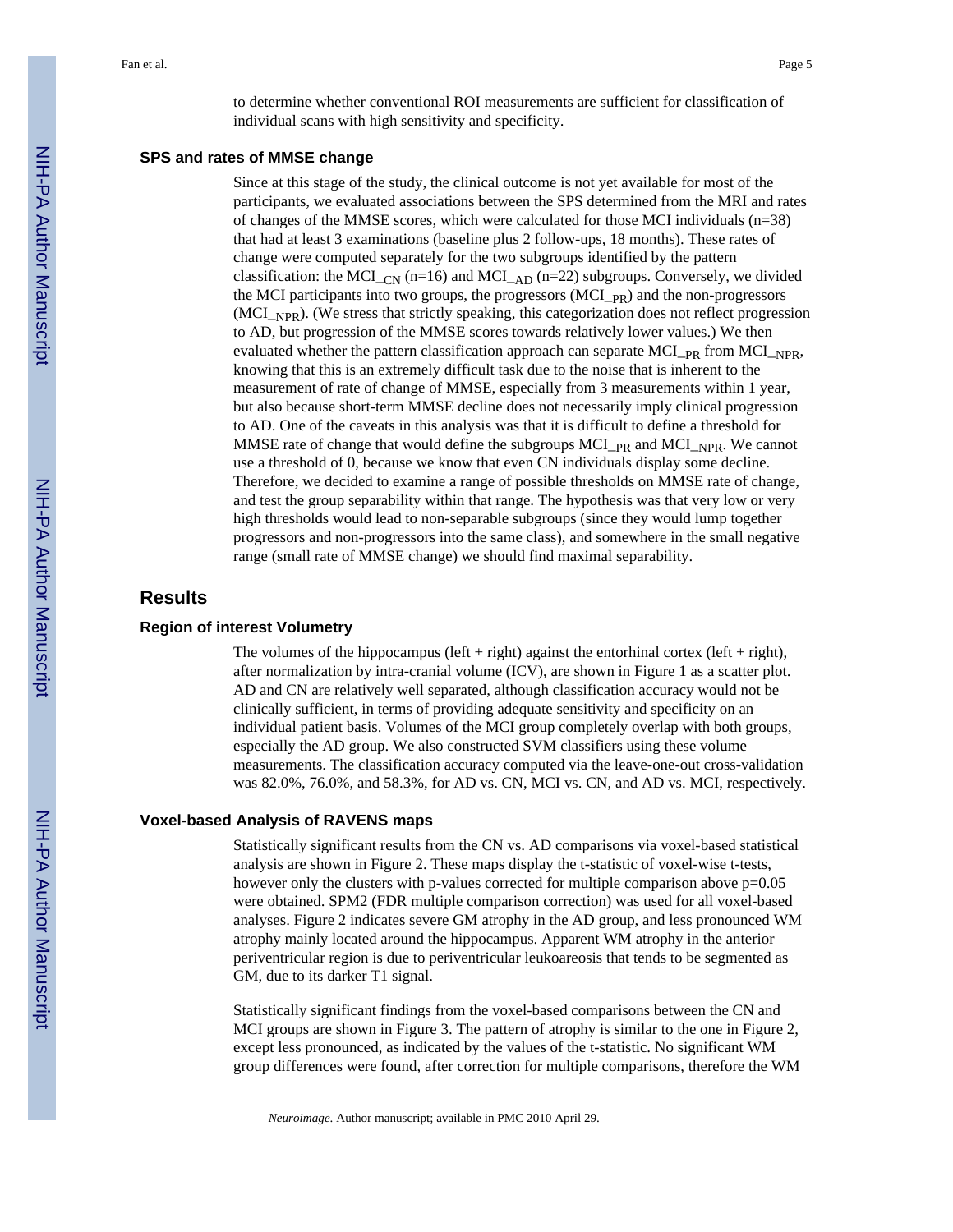to determine whether conventional ROI measurements are sufficient for classification of individual scans with high sensitivity and specificity.

## **SPS and rates of MMSE change**

Since at this stage of the study, the clinical outcome is not yet available for most of the participants, we evaluated associations between the SPS determined from the MRI and rates of changes of the MMSE scores, which were calculated for those MCI individuals  $(n=38)$ that had at least 3 examinations (baseline plus 2 follow-ups, 18 months). These rates of change were computed separately for the two subgroups identified by the pattern classification: the MCI<sub> $\text{C}$ CN (n=16) and MCI<sub> $\text{AD}$ </sub> (n=22) subgroups. Conversely, we divided</sub> the MCI participants into two groups, the progressors (MCI\_PR) and the non-progressors  $(MCI_{NPR})$ . (We stress that strictly speaking, this categorization does not reflect progression to AD, but progression of the MMSE scores towards relatively lower values.) We then evaluated whether the pattern classification approach can separate  $MCI_{PR}$  from  $MCI_{NPR}$ , knowing that this is an extremely difficult task due to the noise that is inherent to the measurement of rate of change of MMSE, especially from 3 measurements within 1 year, but also because short-term MMSE decline does not necessarily imply clinical progression to AD. One of the caveats in this analysis was that it is difficult to define a threshold for MMSE rate of change that would define the subgroups MCI\_<sub>PR</sub> and MCI\_<sub>NPR</sub>. We cannot use a threshold of 0, because we know that even CN individuals display some decline. Therefore, we decided to examine a range of possible thresholds on MMSE rate of change, and test the group separability within that range. The hypothesis was that very low or very high thresholds would lead to non-separable subgroups (since they would lump together progressors and non-progressors into the same class), and somewhere in the small negative range (small rate of MMSE change) we should find maximal separability.

## **Results**

#### **Region of interest Volumetry**

The volumes of the hippocampus (left + right) against the entorhinal cortex (left + right), after normalization by intra-cranial volume (ICV), are shown in Figure 1 as a scatter plot. AD and CN are relatively well separated, although classification accuracy would not be clinically sufficient, in terms of providing adequate sensitivity and specificity on an individual patient basis. Volumes of the MCI group completely overlap with both groups, especially the AD group. We also constructed SVM classifiers using these volume measurements. The classification accuracy computed via the leave-one-out cross-validation was 82.0%, 76.0%, and 58.3%, for AD vs. CN, MCI vs. CN, and AD vs. MCI, respectively.

#### **Voxel-based Analysis of RAVENS maps**

Statistically significant results from the CN vs. AD comparisons via voxel-based statistical analysis are shown in Figure 2. These maps display the t-statistic of voxel-wise t-tests, however only the clusters with p-values corrected for multiple comparison above  $p=0.05$ were obtained. SPM2 (FDR multiple comparison correction) was used for all voxel-based analyses. Figure 2 indicates severe GM atrophy in the AD group, and less pronounced WM atrophy mainly located around the hippocampus. Apparent WM atrophy in the anterior periventricular region is due to periventricular leukoareosis that tends to be segmented as GM, due to its darker T1 signal.

Statistically significant findings from the voxel-based comparisons between the CN and MCI groups are shown in Figure 3. The pattern of atrophy is similar to the one in Figure 2, except less pronounced, as indicated by the values of the t-statistic. No significant WM group differences were found, after correction for multiple comparisons, therefore the WM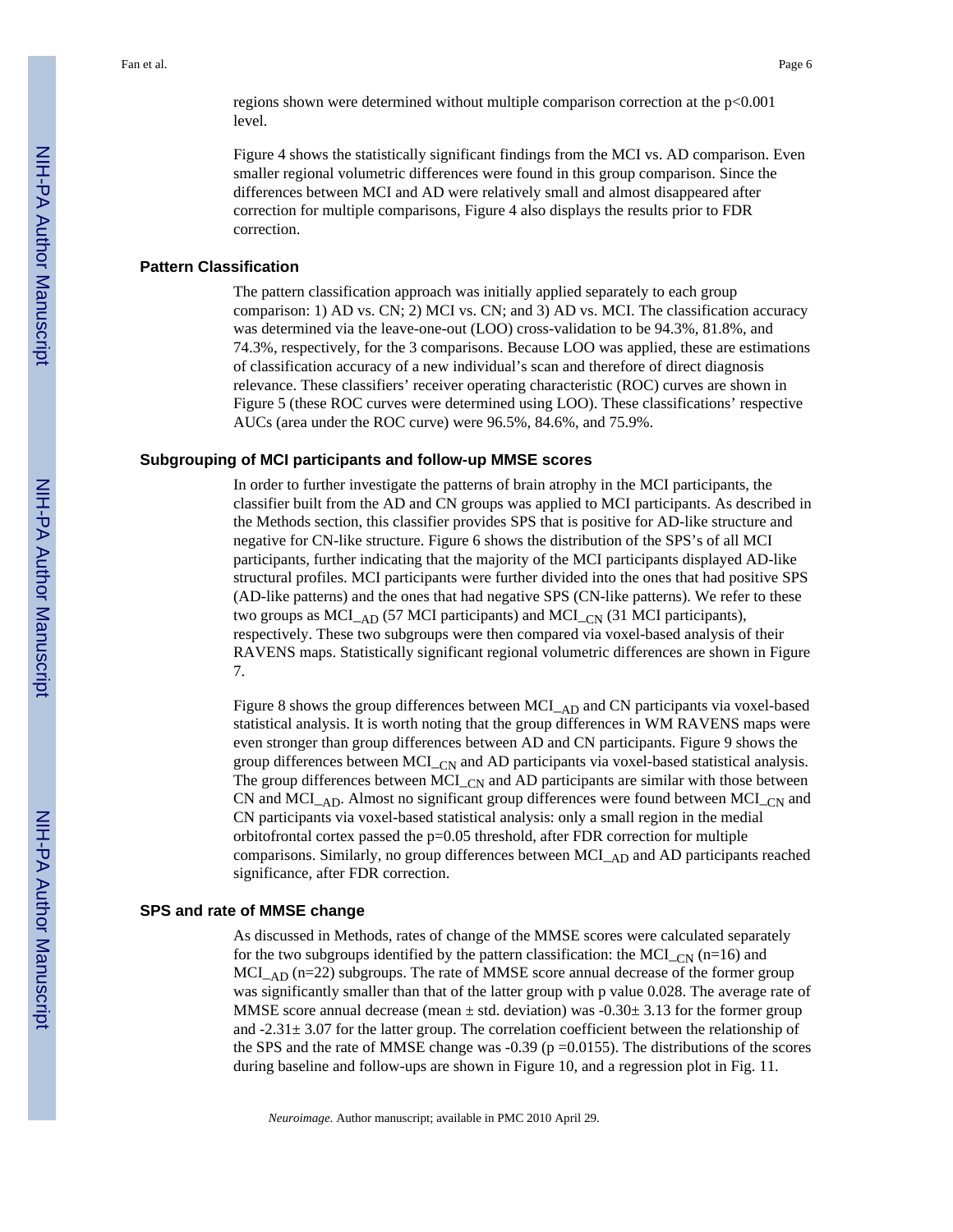regions shown were determined without multiple comparison correction at the p<0.001 level.

Figure 4 shows the statistically significant findings from the MCI vs. AD comparison. Even smaller regional volumetric differences were found in this group comparison. Since the differences between MCI and AD were relatively small and almost disappeared after correction for multiple comparisons, Figure 4 also displays the results prior to FDR correction.

#### **Pattern Classification**

The pattern classification approach was initially applied separately to each group comparison: 1) AD vs. CN; 2) MCI vs. CN; and 3) AD vs. MCI. The classification accuracy was determined via the leave-one-out (LOO) cross-validation to be 94.3%, 81.8%, and 74.3%, respectively, for the 3 comparisons. Because LOO was applied, these are estimations of classification accuracy of a new individual's scan and therefore of direct diagnosis relevance. These classifiers' receiver operating characteristic (ROC) curves are shown in Figure 5 (these ROC curves were determined using LOO). These classifications' respective AUCs (area under the ROC curve) were 96.5%, 84.6%, and 75.9%.

#### **Subgrouping of MCI participants and follow-up MMSE scores**

In order to further investigate the patterns of brain atrophy in the MCI participants, the classifier built from the AD and CN groups was applied to MCI participants. As described in the Methods section, this classifier provides SPS that is positive for AD-like structure and negative for CN-like structure. Figure 6 shows the distribution of the SPS's of all MCI participants, further indicating that the majority of the MCI participants displayed AD-like structural profiles. MCI participants were further divided into the ones that had positive SPS (AD-like patterns) and the ones that had negative SPS (CN-like patterns). We refer to these two groups as  $MCI_{AD}$  (57 MCI participants) and  $MCI_{CN}$  (31 MCI participants), respectively. These two subgroups were then compared via voxel-based analysis of their RAVENS maps. Statistically significant regional volumetric differences are shown in Figure 7.

Figure 8 shows the group differences between MCI\_AD and CN participants via voxel-based statistical analysis. It is worth noting that the group differences in WM RAVENS maps were even stronger than group differences between AD and CN participants. Figure 9 shows the group differences between MCI\_CN and AD participants via voxel-based statistical analysis. The group differences between  $MCI_{CN}$  and AD participants are similar with those between CN and MCI<sub>-AD</sub>. Almost no significant group differences were found between MCI<sub>-CN</sub> and CN participants via voxel-based statistical analysis: only a small region in the medial orbitofrontal cortex passed the p=0.05 threshold, after FDR correction for multiple comparisons. Similarly, no group differences between MCI\_AD and AD participants reached significance, after FDR correction.

#### **SPS and rate of MMSE change**

As discussed in Methods, rates of change of the MMSE scores were calculated separately for the two subgroups identified by the pattern classification: the  $MCI_{CN}$  (n=16) and MCI<sub>AD</sub> (n=22) subgroups. The rate of MMSE score annual decrease of the former group was significantly smaller than that of the latter group with p value 0.028. The average rate of MMSE score annual decrease (mean  $\pm$  std. deviation) was -0.30 $\pm$  3.13 for the former group and  $-2.31 \pm 3.07$  for the latter group. The correlation coefficient between the relationship of the SPS and the rate of MMSE change was  $-0.39$  (p =0.0155). The distributions of the scores during baseline and follow-ups are shown in Figure 10, and a regression plot in Fig. 11.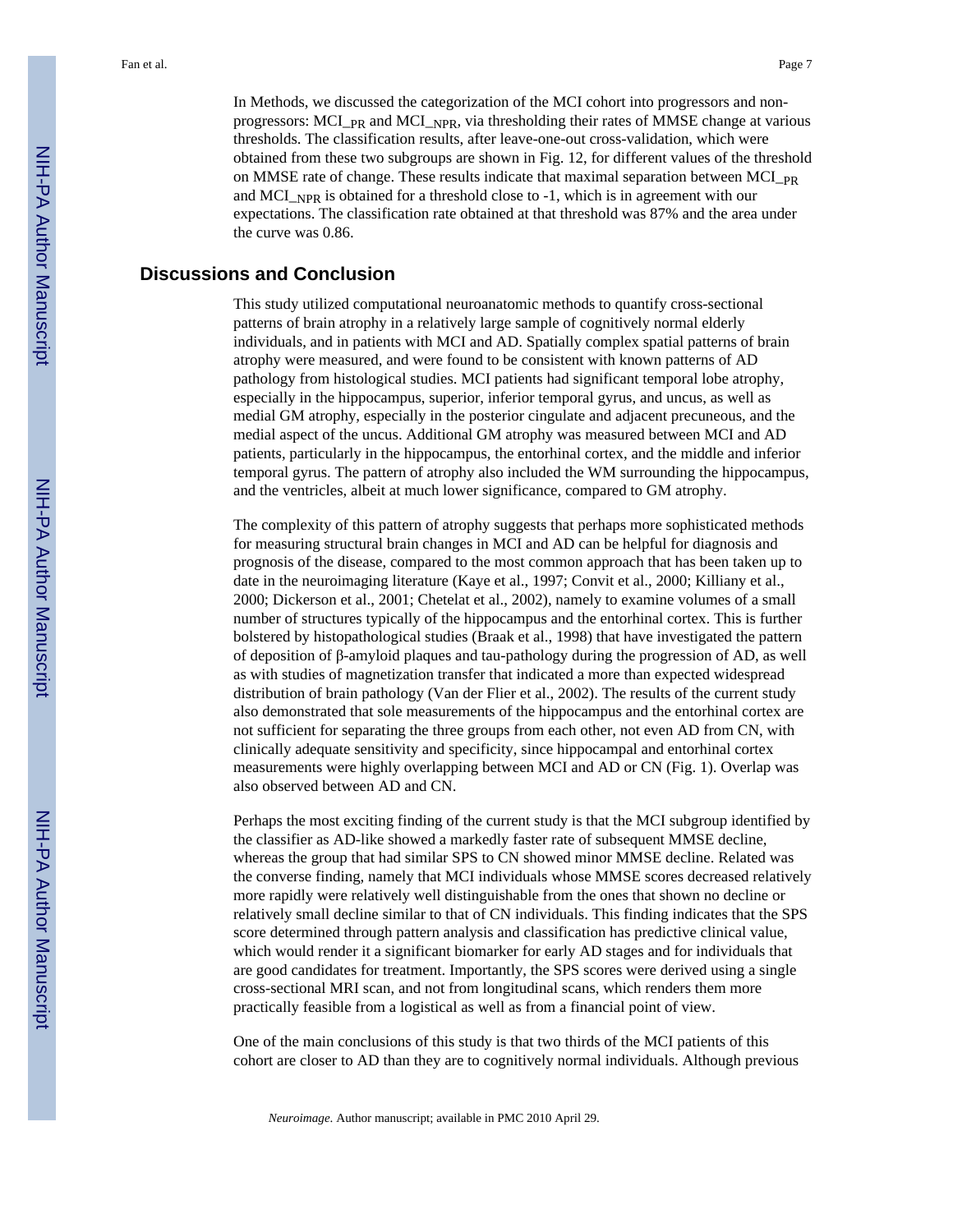In Methods, we discussed the categorization of the MCI cohort into progressors and nonprogressors:  $MCI_{PR}$  and  $MCI_{NPR}$ , via thresholding their rates of MMSE change at various thresholds. The classification results, after leave-one-out cross-validation, which were obtained from these two subgroups are shown in Fig. 12, for different values of the threshold on MMSE rate of change. These results indicate that maximal separation between MCI  $_{PR}$ and MCI\_NPR is obtained for a threshold close to -1, which is in agreement with our expectations. The classification rate obtained at that threshold was 87% and the area under the curve was 0.86.

## **Discussions and Conclusion**

This study utilized computational neuroanatomic methods to quantify cross-sectional patterns of brain atrophy in a relatively large sample of cognitively normal elderly individuals, and in patients with MCI and AD. Spatially complex spatial patterns of brain atrophy were measured, and were found to be consistent with known patterns of AD pathology from histological studies. MCI patients had significant temporal lobe atrophy, especially in the hippocampus, superior, inferior temporal gyrus, and uncus, as well as medial GM atrophy, especially in the posterior cingulate and adjacent precuneous, and the medial aspect of the uncus. Additional GM atrophy was measured between MCI and AD patients, particularly in the hippocampus, the entorhinal cortex, and the middle and inferior temporal gyrus. The pattern of atrophy also included the WM surrounding the hippocampus, and the ventricles, albeit at much lower significance, compared to GM atrophy.

The complexity of this pattern of atrophy suggests that perhaps more sophisticated methods for measuring structural brain changes in MCI and AD can be helpful for diagnosis and prognosis of the disease, compared to the most common approach that has been taken up to date in the neuroimaging literature (Kaye et al., 1997; Convit et al., 2000; Killiany et al., 2000; Dickerson et al., 2001; Chetelat et al., 2002), namely to examine volumes of a small number of structures typically of the hippocampus and the entorhinal cortex. This is further bolstered by histopathological studies (Braak et al., 1998) that have investigated the pattern of deposition of β-amyloid plaques and tau-pathology during the progression of AD, as well as with studies of magnetization transfer that indicated a more than expected widespread distribution of brain pathology (Van der Flier et al., 2002). The results of the current study also demonstrated that sole measurements of the hippocampus and the entorhinal cortex are not sufficient for separating the three groups from each other, not even AD from CN, with clinically adequate sensitivity and specificity, since hippocampal and entorhinal cortex measurements were highly overlapping between MCI and AD or CN (Fig. 1). Overlap was also observed between AD and CN.

Perhaps the most exciting finding of the current study is that the MCI subgroup identified by the classifier as AD-like showed a markedly faster rate of subsequent MMSE decline, whereas the group that had similar SPS to CN showed minor MMSE decline. Related was the converse finding, namely that MCI individuals whose MMSE scores decreased relatively more rapidly were relatively well distinguishable from the ones that shown no decline or relatively small decline similar to that of CN individuals. This finding indicates that the SPS score determined through pattern analysis and classification has predictive clinical value, which would render it a significant biomarker for early AD stages and for individuals that are good candidates for treatment. Importantly, the SPS scores were derived using a single cross-sectional MRI scan, and not from longitudinal scans, which renders them more practically feasible from a logistical as well as from a financial point of view.

One of the main conclusions of this study is that two thirds of the MCI patients of this cohort are closer to AD than they are to cognitively normal individuals. Although previous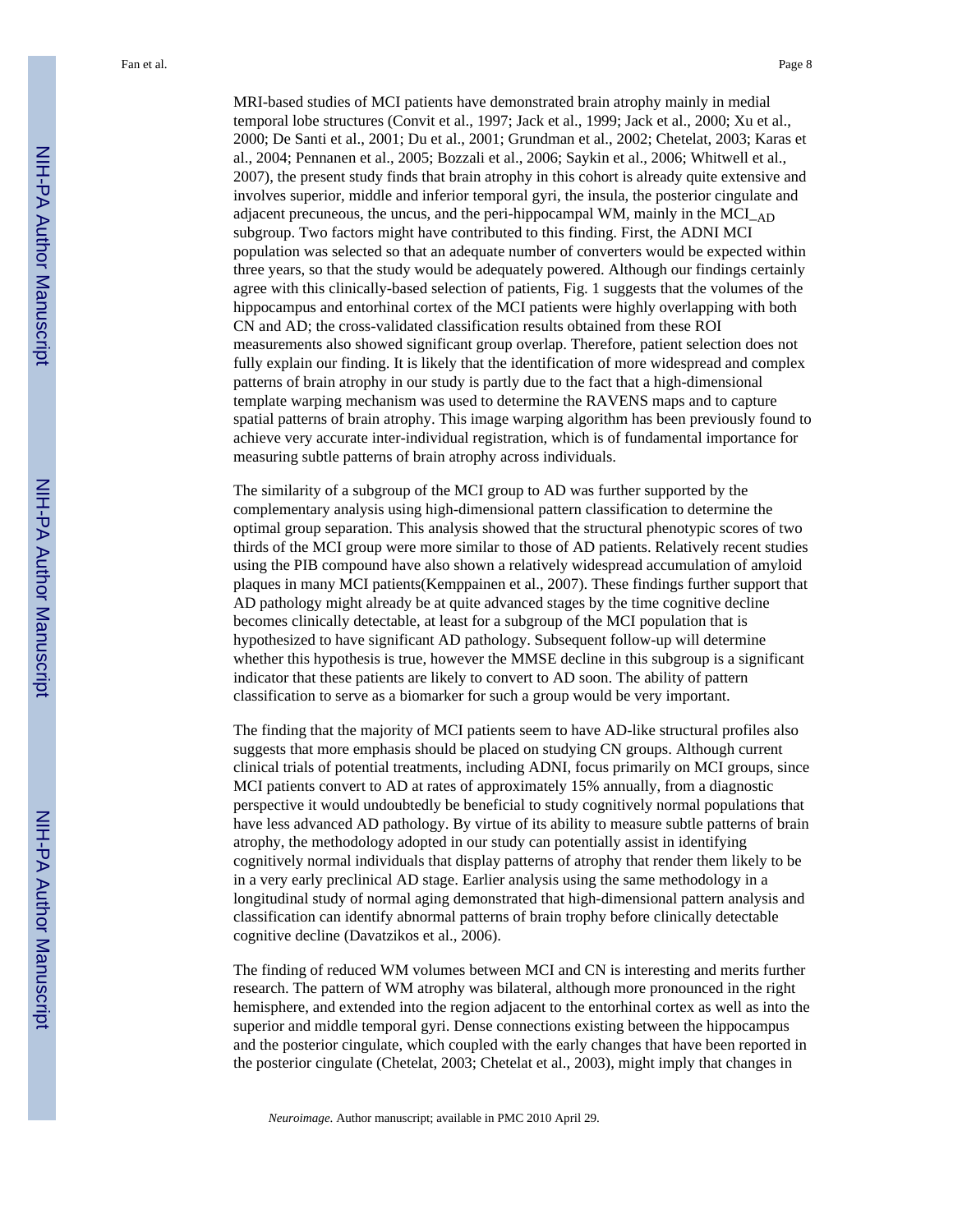MRI-based studies of MCI patients have demonstrated brain atrophy mainly in medial temporal lobe structures (Convit et al., 1997; Jack et al., 1999; Jack et al., 2000; Xu et al., 2000; De Santi et al., 2001; Du et al., 2001; Grundman et al., 2002; Chetelat, 2003; Karas et al., 2004; Pennanen et al., 2005; Bozzali et al., 2006; Saykin et al., 2006; Whitwell et al., 2007), the present study finds that brain atrophy in this cohort is already quite extensive and involves superior, middle and inferior temporal gyri, the insula, the posterior cingulate and adjacent precuneous, the uncus, and the peri-hippocampal WM, mainly in the MCI\_AD subgroup. Two factors might have contributed to this finding. First, the ADNI MCI population was selected so that an adequate number of converters would be expected within three years, so that the study would be adequately powered. Although our findings certainly agree with this clinically-based selection of patients, Fig. 1 suggests that the volumes of the hippocampus and entorhinal cortex of the MCI patients were highly overlapping with both CN and AD; the cross-validated classification results obtained from these ROI measurements also showed significant group overlap. Therefore, patient selection does not fully explain our finding. It is likely that the identification of more widespread and complex patterns of brain atrophy in our study is partly due to the fact that a high-dimensional template warping mechanism was used to determine the RAVENS maps and to capture spatial patterns of brain atrophy. This image warping algorithm has been previously found to achieve very accurate inter-individual registration, which is of fundamental importance for measuring subtle patterns of brain atrophy across individuals.

The similarity of a subgroup of the MCI group to AD was further supported by the complementary analysis using high-dimensional pattern classification to determine the optimal group separation. This analysis showed that the structural phenotypic scores of two thirds of the MCI group were more similar to those of AD patients. Relatively recent studies using the PIB compound have also shown a relatively widespread accumulation of amyloid plaques in many MCI patients(Kemppainen et al., 2007). These findings further support that AD pathology might already be at quite advanced stages by the time cognitive decline becomes clinically detectable, at least for a subgroup of the MCI population that is hypothesized to have significant AD pathology. Subsequent follow-up will determine whether this hypothesis is true, however the MMSE decline in this subgroup is a significant indicator that these patients are likely to convert to AD soon. The ability of pattern classification to serve as a biomarker for such a group would be very important.

The finding that the majority of MCI patients seem to have AD-like structural profiles also suggests that more emphasis should be placed on studying CN groups. Although current clinical trials of potential treatments, including ADNI, focus primarily on MCI groups, since MCI patients convert to AD at rates of approximately 15% annually, from a diagnostic perspective it would undoubtedly be beneficial to study cognitively normal populations that have less advanced AD pathology. By virtue of its ability to measure subtle patterns of brain atrophy, the methodology adopted in our study can potentially assist in identifying cognitively normal individuals that display patterns of atrophy that render them likely to be in a very early preclinical AD stage. Earlier analysis using the same methodology in a longitudinal study of normal aging demonstrated that high-dimensional pattern analysis and classification can identify abnormal patterns of brain trophy before clinically detectable cognitive decline (Davatzikos et al., 2006).

The finding of reduced WM volumes between MCI and CN is interesting and merits further research. The pattern of WM atrophy was bilateral, although more pronounced in the right hemisphere, and extended into the region adjacent to the entorhinal cortex as well as into the superior and middle temporal gyri. Dense connections existing between the hippocampus and the posterior cingulate, which coupled with the early changes that have been reported in the posterior cingulate (Chetelat, 2003; Chetelat et al., 2003), might imply that changes in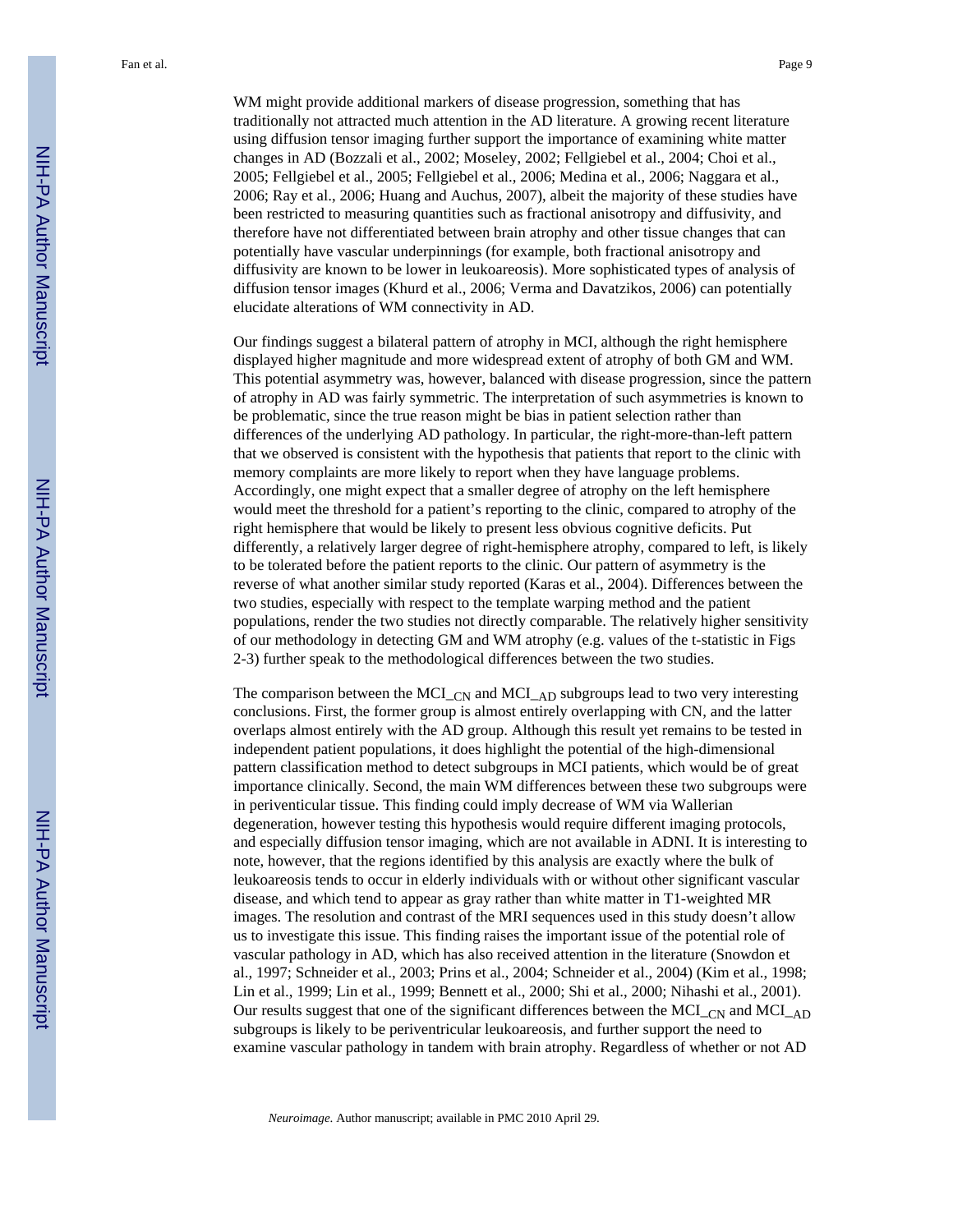WM might provide additional markers of disease progression, something that has traditionally not attracted much attention in the AD literature. A growing recent literature using diffusion tensor imaging further support the importance of examining white matter changes in AD (Bozzali et al., 2002; Moseley, 2002; Fellgiebel et al., 2004; Choi et al., 2005; Fellgiebel et al., 2005; Fellgiebel et al., 2006; Medina et al., 2006; Naggara et al., 2006; Ray et al., 2006; Huang and Auchus, 2007), albeit the majority of these studies have been restricted to measuring quantities such as fractional anisotropy and diffusivity, and therefore have not differentiated between brain atrophy and other tissue changes that can potentially have vascular underpinnings (for example, both fractional anisotropy and diffusivity are known to be lower in leukoareosis). More sophisticated types of analysis of diffusion tensor images (Khurd et al., 2006; Verma and Davatzikos, 2006) can potentially elucidate alterations of WM connectivity in AD.

Our findings suggest a bilateral pattern of atrophy in MCI, although the right hemisphere displayed higher magnitude and more widespread extent of atrophy of both GM and WM. This potential asymmetry was, however, balanced with disease progression, since the pattern of atrophy in AD was fairly symmetric. The interpretation of such asymmetries is known to be problematic, since the true reason might be bias in patient selection rather than differences of the underlying AD pathology. In particular, the right-more-than-left pattern that we observed is consistent with the hypothesis that patients that report to the clinic with memory complaints are more likely to report when they have language problems. Accordingly, one might expect that a smaller degree of atrophy on the left hemisphere would meet the threshold for a patient's reporting to the clinic, compared to atrophy of the right hemisphere that would be likely to present less obvious cognitive deficits. Put differently, a relatively larger degree of right-hemisphere atrophy, compared to left, is likely to be tolerated before the patient reports to the clinic. Our pattern of asymmetry is the reverse of what another similar study reported (Karas et al., 2004). Differences between the two studies, especially with respect to the template warping method and the patient populations, render the two studies not directly comparable. The relatively higher sensitivity of our methodology in detecting GM and WM atrophy (e.g. values of the t-statistic in Figs 2-3) further speak to the methodological differences between the two studies.

The comparison between the MCI\_<sub>CN</sub> and MCI\_<sub>AD</sub> subgroups lead to two very interesting conclusions. First, the former group is almost entirely overlapping with CN, and the latter overlaps almost entirely with the AD group. Although this result yet remains to be tested in independent patient populations, it does highlight the potential of the high-dimensional pattern classification method to detect subgroups in MCI patients, which would be of great importance clinically. Second, the main WM differences between these two subgroups were in periventicular tissue. This finding could imply decrease of WM via Wallerian degeneration, however testing this hypothesis would require different imaging protocols, and especially diffusion tensor imaging, which are not available in ADNI. It is interesting to note, however, that the regions identified by this analysis are exactly where the bulk of leukoareosis tends to occur in elderly individuals with or without other significant vascular disease, and which tend to appear as gray rather than white matter in T1-weighted MR images. The resolution and contrast of the MRI sequences used in this study doesn't allow us to investigate this issue. This finding raises the important issue of the potential role of vascular pathology in AD, which has also received attention in the literature (Snowdon et al., 1997; Schneider et al., 2003; Prins et al., 2004; Schneider et al., 2004) (Kim et al., 1998; Lin et al., 1999; Lin et al., 1999; Bennett et al., 2000; Shi et al., 2000; Nihashi et al., 2001). Our results suggest that one of the significant differences between the MCI\_<sub>CN</sub> and MCI\_<sub>AD</sub> subgroups is likely to be periventricular leukoareosis, and further support the need to examine vascular pathology in tandem with brain atrophy. Regardless of whether or not AD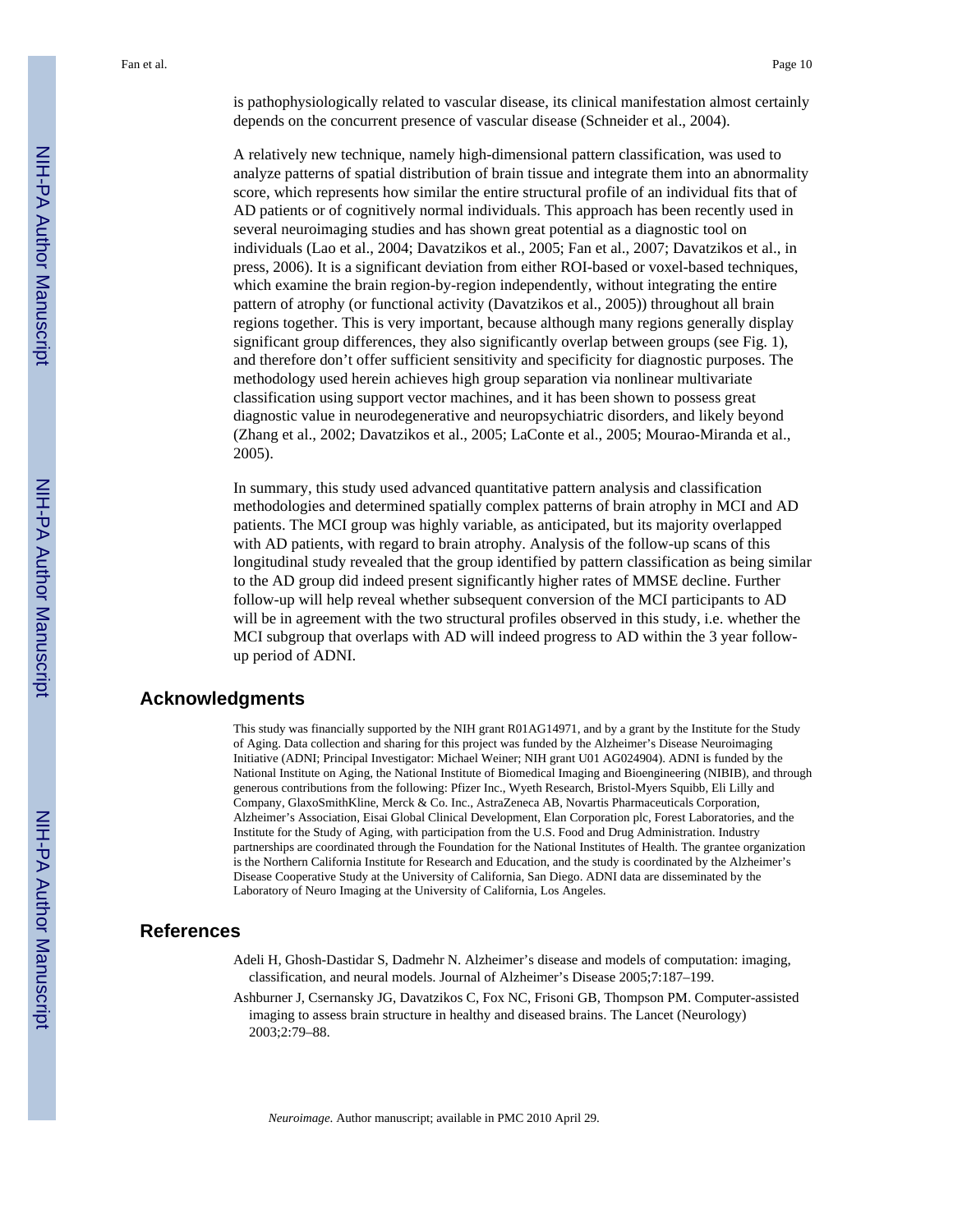is pathophysiologically related to vascular disease, its clinical manifestation almost certainly depends on the concurrent presence of vascular disease (Schneider et al., 2004).

A relatively new technique, namely high-dimensional pattern classification, was used to analyze patterns of spatial distribution of brain tissue and integrate them into an abnormality score, which represents how similar the entire structural profile of an individual fits that of AD patients or of cognitively normal individuals. This approach has been recently used in several neuroimaging studies and has shown great potential as a diagnostic tool on individuals (Lao et al., 2004; Davatzikos et al., 2005; Fan et al., 2007; Davatzikos et al., in press, 2006). It is a significant deviation from either ROI-based or voxel-based techniques, which examine the brain region-by-region independently, without integrating the entire pattern of atrophy (or functional activity (Davatzikos et al., 2005)) throughout all brain regions together. This is very important, because although many regions generally display significant group differences, they also significantly overlap between groups (see Fig. 1), and therefore don't offer sufficient sensitivity and specificity for diagnostic purposes. The methodology used herein achieves high group separation via nonlinear multivariate classification using support vector machines, and it has been shown to possess great diagnostic value in neurodegenerative and neuropsychiatric disorders, and likely beyond (Zhang et al., 2002; Davatzikos et al., 2005; LaConte et al., 2005; Mourao-Miranda et al., 2005).

In summary, this study used advanced quantitative pattern analysis and classification methodologies and determined spatially complex patterns of brain atrophy in MCI and AD patients. The MCI group was highly variable, as anticipated, but its majority overlapped with AD patients, with regard to brain atrophy. Analysis of the follow-up scans of this longitudinal study revealed that the group identified by pattern classification as being similar to the AD group did indeed present significantly higher rates of MMSE decline. Further follow-up will help reveal whether subsequent conversion of the MCI participants to AD will be in agreement with the two structural profiles observed in this study, i.e. whether the MCI subgroup that overlaps with AD will indeed progress to AD within the 3 year followup period of ADNI.

## **Acknowledgments**

This study was financially supported by the NIH grant R01AG14971, and by a grant by the Institute for the Study of Aging. Data collection and sharing for this project was funded by the Alzheimer's Disease Neuroimaging Initiative (ADNI; Principal Investigator: Michael Weiner; NIH grant U01 AG024904). ADNI is funded by the National Institute on Aging, the National Institute of Biomedical Imaging and Bioengineering (NIBIB), and through generous contributions from the following: Pfizer Inc., Wyeth Research, Bristol-Myers Squibb, Eli Lilly and Company, GlaxoSmithKline, Merck & Co. Inc., AstraZeneca AB, Novartis Pharmaceuticals Corporation, Alzheimer's Association, Eisai Global Clinical Development, Elan Corporation plc, Forest Laboratories, and the Institute for the Study of Aging, with participation from the U.S. Food and Drug Administration. Industry partnerships are coordinated through the Foundation for the National Institutes of Health. The grantee organization is the Northern California Institute for Research and Education, and the study is coordinated by the Alzheimer's Disease Cooperative Study at the University of California, San Diego. ADNI data are disseminated by the Laboratory of Neuro Imaging at the University of California, Los Angeles.

## **References**

- Adeli H, Ghosh-Dastidar S, Dadmehr N. Alzheimer's disease and models of computation: imaging, classification, and neural models. Journal of Alzheimer's Disease 2005;7:187–199.
- Ashburner J, Csernansky JG, Davatzikos C, Fox NC, Frisoni GB, Thompson PM. Computer-assisted imaging to assess brain structure in healthy and diseased brains. The Lancet (Neurology) 2003;2:79–88.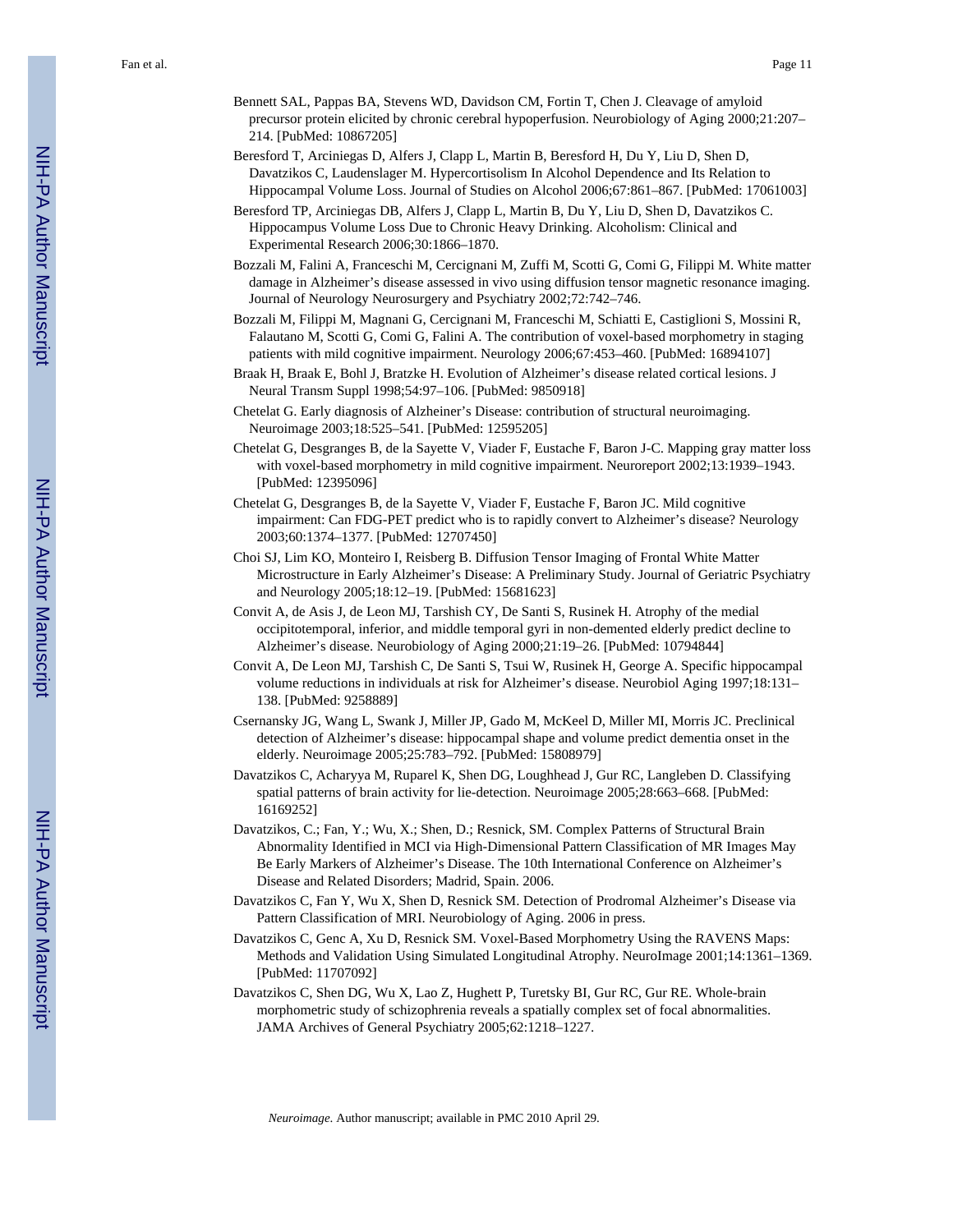- Bennett SAL, Pappas BA, Stevens WD, Davidson CM, Fortin T, Chen J. Cleavage of amyloid precursor protein elicited by chronic cerebral hypoperfusion. Neurobiology of Aging 2000;21:207– 214. [PubMed: 10867205]
- Beresford T, Arciniegas D, Alfers J, Clapp L, Martin B, Beresford H, Du Y, Liu D, Shen D, Davatzikos C, Laudenslager M. Hypercortisolism In Alcohol Dependence and Its Relation to Hippocampal Volume Loss. Journal of Studies on Alcohol 2006;67:861–867. [PubMed: 17061003]
- Beresford TP, Arciniegas DB, Alfers J, Clapp L, Martin B, Du Y, Liu D, Shen D, Davatzikos C. Hippocampus Volume Loss Due to Chronic Heavy Drinking. Alcoholism: Clinical and Experimental Research 2006;30:1866–1870.
- Bozzali M, Falini A, Franceschi M, Cercignani M, Zuffi M, Scotti G, Comi G, Filippi M. White matter damage in Alzheimer's disease assessed in vivo using diffusion tensor magnetic resonance imaging. Journal of Neurology Neurosurgery and Psychiatry 2002;72:742–746.
- Bozzali M, Filippi M, Magnani G, Cercignani M, Franceschi M, Schiatti E, Castiglioni S, Mossini R, Falautano M, Scotti G, Comi G, Falini A. The contribution of voxel-based morphometry in staging patients with mild cognitive impairment. Neurology 2006;67:453–460. [PubMed: 16894107]
- Braak H, Braak E, Bohl J, Bratzke H. Evolution of Alzheimer's disease related cortical lesions. J Neural Transm Suppl 1998;54:97–106. [PubMed: 9850918]
- Chetelat G. Early diagnosis of Alzheiner's Disease: contribution of structural neuroimaging. Neuroimage 2003;18:525–541. [PubMed: 12595205]
- Chetelat G, Desgranges B, de la Sayette V, Viader F, Eustache F, Baron J-C. Mapping gray matter loss with voxel-based morphometry in mild cognitive impairment. Neuroreport 2002;13:1939–1943. [PubMed: 12395096]
- Chetelat G, Desgranges B, de la Sayette V, Viader F, Eustache F, Baron JC. Mild cognitive impairment: Can FDG-PET predict who is to rapidly convert to Alzheimer's disease? Neurology 2003;60:1374–1377. [PubMed: 12707450]
- Choi SJ, Lim KO, Monteiro I, Reisberg B. Diffusion Tensor Imaging of Frontal White Matter Microstructure in Early Alzheimer's Disease: A Preliminary Study. Journal of Geriatric Psychiatry and Neurology 2005;18:12–19. [PubMed: 15681623]
- Convit A, de Asis J, de Leon MJ, Tarshish CY, De Santi S, Rusinek H. Atrophy of the medial occipitotemporal, inferior, and middle temporal gyri in non-demented elderly predict decline to Alzheimer's disease. Neurobiology of Aging 2000;21:19–26. [PubMed: 10794844]
- Convit A, De Leon MJ, Tarshish C, De Santi S, Tsui W, Rusinek H, George A. Specific hippocampal volume reductions in individuals at risk for Alzheimer's disease. Neurobiol Aging 1997;18:131– 138. [PubMed: 9258889]
- Csernansky JG, Wang L, Swank J, Miller JP, Gado M, McKeel D, Miller MI, Morris JC. Preclinical detection of Alzheimer's disease: hippocampal shape and volume predict dementia onset in the elderly. Neuroimage 2005;25:783–792. [PubMed: 15808979]
- Davatzikos C, Acharyya M, Ruparel K, Shen DG, Loughhead J, Gur RC, Langleben D. Classifying spatial patterns of brain activity for lie-detection. Neuroimage 2005;28:663–668. [PubMed: 16169252]
- Davatzikos, C.; Fan, Y.; Wu, X.; Shen, D.; Resnick, SM. Complex Patterns of Structural Brain Abnormality Identified in MCI via High-Dimensional Pattern Classification of MR Images May Be Early Markers of Alzheimer's Disease. The 10th International Conference on Alzheimer's Disease and Related Disorders; Madrid, Spain. 2006.
- Davatzikos C, Fan Y, Wu X, Shen D, Resnick SM. Detection of Prodromal Alzheimer's Disease via Pattern Classification of MRI. Neurobiology of Aging. 2006 in press.
- Davatzikos C, Genc A, Xu D, Resnick SM. Voxel-Based Morphometry Using the RAVENS Maps: Methods and Validation Using Simulated Longitudinal Atrophy. NeuroImage 2001;14:1361–1369. [PubMed: 11707092]
- Davatzikos C, Shen DG, Wu X, Lao Z, Hughett P, Turetsky BI, Gur RC, Gur RE. Whole-brain morphometric study of schizophrenia reveals a spatially complex set of focal abnormalities. JAMA Archives of General Psychiatry 2005;62:1218–1227.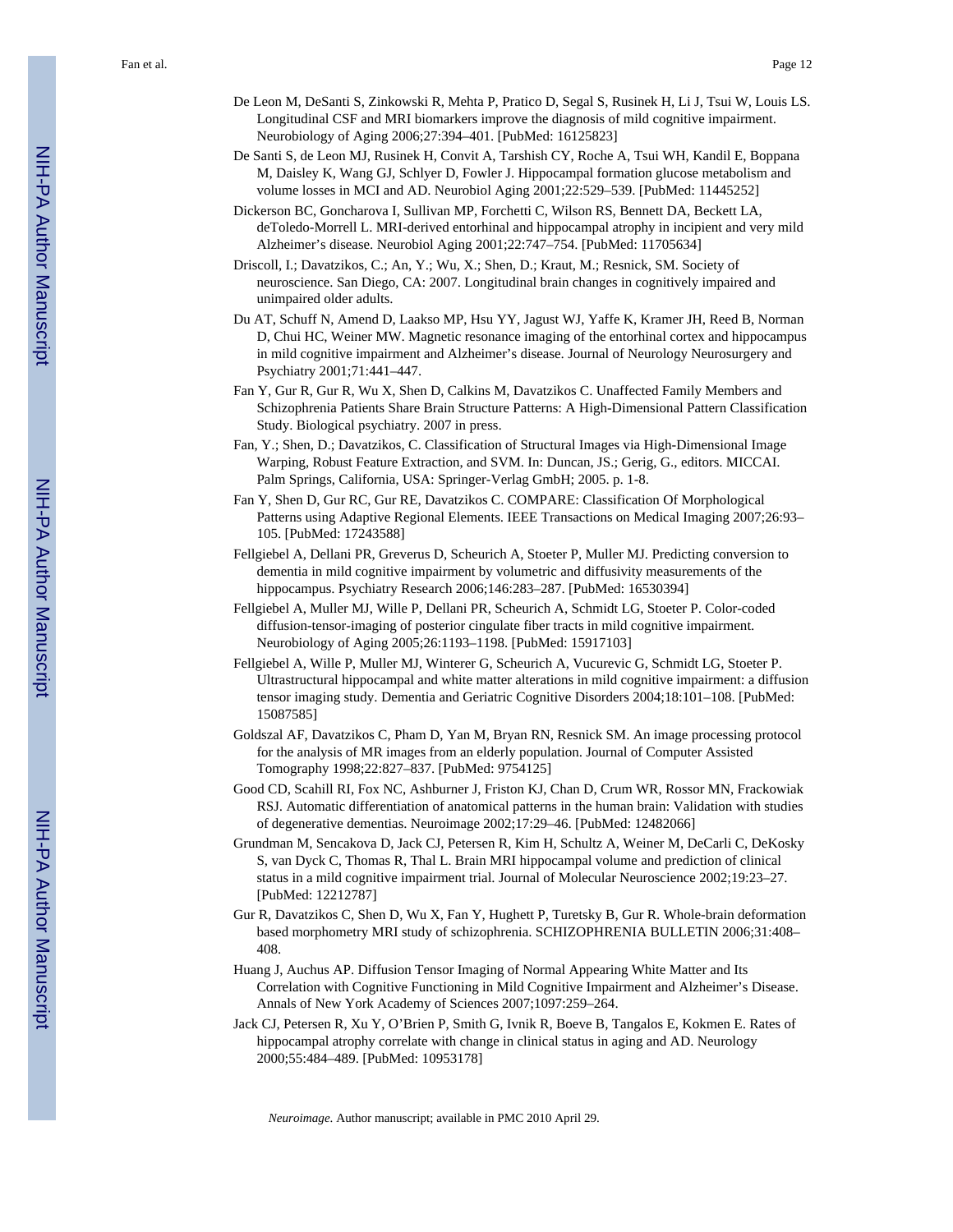- De Leon M, DeSanti S, Zinkowski R, Mehta P, Pratico D, Segal S, Rusinek H, Li J, Tsui W, Louis LS. Longitudinal CSF and MRI biomarkers improve the diagnosis of mild cognitive impairment. Neurobiology of Aging 2006;27:394–401. [PubMed: 16125823]
- De Santi S, de Leon MJ, Rusinek H, Convit A, Tarshish CY, Roche A, Tsui WH, Kandil E, Boppana M, Daisley K, Wang GJ, Schlyer D, Fowler J. Hippocampal formation glucose metabolism and volume losses in MCI and AD. Neurobiol Aging 2001;22:529–539. [PubMed: 11445252]
- Dickerson BC, Goncharova I, Sullivan MP, Forchetti C, Wilson RS, Bennett DA, Beckett LA, deToledo-Morrell L. MRI-derived entorhinal and hippocampal atrophy in incipient and very mild Alzheimer's disease. Neurobiol Aging 2001;22:747–754. [PubMed: 11705634]
- Driscoll, I.; Davatzikos, C.; An, Y.; Wu, X.; Shen, D.; Kraut, M.; Resnick, SM. Society of neuroscience. San Diego, CA: 2007. Longitudinal brain changes in cognitively impaired and unimpaired older adults.
- Du AT, Schuff N, Amend D, Laakso MP, Hsu YY, Jagust WJ, Yaffe K, Kramer JH, Reed B, Norman D, Chui HC, Weiner MW. Magnetic resonance imaging of the entorhinal cortex and hippocampus in mild cognitive impairment and Alzheimer's disease. Journal of Neurology Neurosurgery and Psychiatry 2001;71:441–447.
- Fan Y, Gur R, Gur R, Wu X, Shen D, Calkins M, Davatzikos C. Unaffected Family Members and Schizophrenia Patients Share Brain Structure Patterns: A High-Dimensional Pattern Classification Study. Biological psychiatry. 2007 in press.
- Fan, Y.; Shen, D.; Davatzikos, C. Classification of Structural Images via High-Dimensional Image Warping, Robust Feature Extraction, and SVM. In: Duncan, JS.; Gerig, G., editors. MICCAI. Palm Springs, California, USA: Springer-Verlag GmbH; 2005. p. 1-8.
- Fan Y, Shen D, Gur RC, Gur RE, Davatzikos C. COMPARE: Classification Of Morphological Patterns using Adaptive Regional Elements. IEEE Transactions on Medical Imaging 2007;26:93– 105. [PubMed: 17243588]
- Fellgiebel A, Dellani PR, Greverus D, Scheurich A, Stoeter P, Muller MJ. Predicting conversion to dementia in mild cognitive impairment by volumetric and diffusivity measurements of the hippocampus. Psychiatry Research 2006;146:283–287. [PubMed: 16530394]
- Fellgiebel A, Muller MJ, Wille P, Dellani PR, Scheurich A, Schmidt LG, Stoeter P. Color-coded diffusion-tensor-imaging of posterior cingulate fiber tracts in mild cognitive impairment. Neurobiology of Aging 2005;26:1193–1198. [PubMed: 15917103]
- Fellgiebel A, Wille P, Muller MJ, Winterer G, Scheurich A, Vucurevic G, Schmidt LG, Stoeter P. Ultrastructural hippocampal and white matter alterations in mild cognitive impairment: a diffusion tensor imaging study. Dementia and Geriatric Cognitive Disorders 2004;18:101–108. [PubMed: 15087585]
- Goldszal AF, Davatzikos C, Pham D, Yan M, Bryan RN, Resnick SM. An image processing protocol for the analysis of MR images from an elderly population. Journal of Computer Assisted Tomography 1998;22:827–837. [PubMed: 9754125]
- Good CD, Scahill RI, Fox NC, Ashburner J, Friston KJ, Chan D, Crum WR, Rossor MN, Frackowiak RSJ. Automatic differentiation of anatomical patterns in the human brain: Validation with studies of degenerative dementias. Neuroimage 2002;17:29–46. [PubMed: 12482066]
- Grundman M, Sencakova D, Jack CJ, Petersen R, Kim H, Schultz A, Weiner M, DeCarli C, DeKosky S, van Dyck C, Thomas R, Thal L. Brain MRI hippocampal volume and prediction of clinical status in a mild cognitive impairment trial. Journal of Molecular Neuroscience 2002;19:23–27. [PubMed: 12212787]
- Gur R, Davatzikos C, Shen D, Wu X, Fan Y, Hughett P, Turetsky B, Gur R. Whole-brain deformation based morphometry MRI study of schizophrenia. SCHIZOPHRENIA BULLETIN 2006;31:408– 408.
- Huang J, Auchus AP. Diffusion Tensor Imaging of Normal Appearing White Matter and Its Correlation with Cognitive Functioning in Mild Cognitive Impairment and Alzheimer's Disease. Annals of New York Academy of Sciences 2007;1097:259–264.
- Jack CJ, Petersen R, Xu Y, O'Brien P, Smith G, Ivnik R, Boeve B, Tangalos E, Kokmen E. Rates of hippocampal atrophy correlate with change in clinical status in aging and AD. Neurology 2000;55:484–489. [PubMed: 10953178]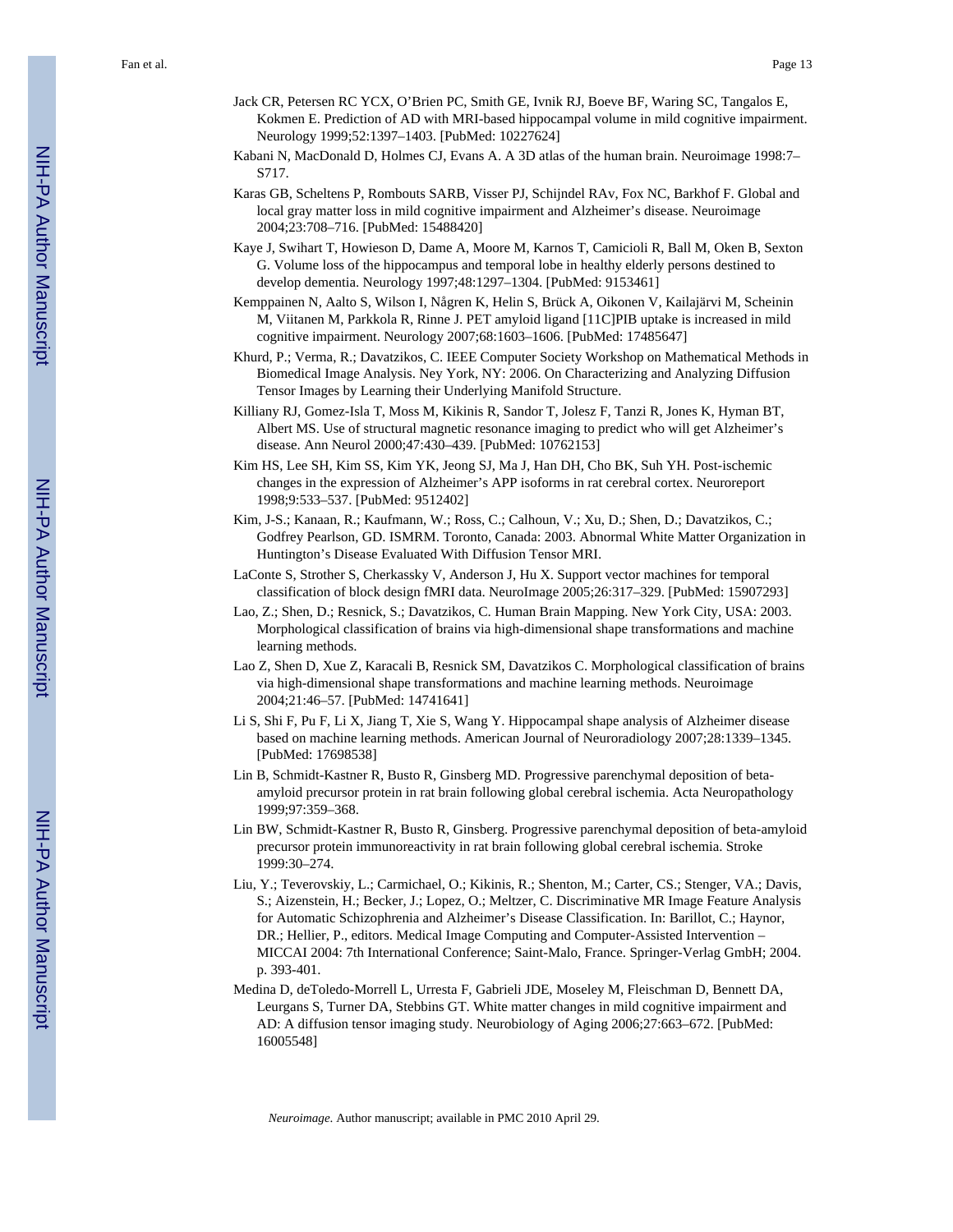- Jack CR, Petersen RC YCX, O'Brien PC, Smith GE, Ivnik RJ, Boeve BF, Waring SC, Tangalos E, Kokmen E. Prediction of AD with MRI-based hippocampal volume in mild cognitive impairment. Neurology 1999;52:1397–1403. [PubMed: 10227624]
- Kabani N, MacDonald D, Holmes CJ, Evans A. A 3D atlas of the human brain. Neuroimage 1998:7– S717.
- Karas GB, Scheltens P, Rombouts SARB, Visser PJ, Schijndel RAv, Fox NC, Barkhof F. Global and local gray matter loss in mild cognitive impairment and Alzheimer's disease. Neuroimage 2004;23:708–716. [PubMed: 15488420]
- Kaye J, Swihart T, Howieson D, Dame A, Moore M, Karnos T, Camicioli R, Ball M, Oken B, Sexton G. Volume loss of the hippocampus and temporal lobe in healthy elderly persons destined to develop dementia. Neurology 1997;48:1297–1304. [PubMed: 9153461]
- Kemppainen N, Aalto S, Wilson I, Någren K, Helin S, Brück A, Oikonen V, Kailajärvi M, Scheinin M, Viitanen M, Parkkola R, Rinne J. PET amyloid ligand [11C]PIB uptake is increased in mild cognitive impairment. Neurology 2007;68:1603–1606. [PubMed: 17485647]
- Khurd, P.; Verma, R.; Davatzikos, C. IEEE Computer Society Workshop on Mathematical Methods in Biomedical Image Analysis. Ney York, NY: 2006. On Characterizing and Analyzing Diffusion Tensor Images by Learning their Underlying Manifold Structure.
- Killiany RJ, Gomez-Isla T, Moss M, Kikinis R, Sandor T, Jolesz F, Tanzi R, Jones K, Hyman BT, Albert MS. Use of structural magnetic resonance imaging to predict who will get Alzheimer's disease. Ann Neurol 2000;47:430–439. [PubMed: 10762153]
- Kim HS, Lee SH, Kim SS, Kim YK, Jeong SJ, Ma J, Han DH, Cho BK, Suh YH. Post-ischemic changes in the expression of Alzheimer's APP isoforms in rat cerebral cortex. Neuroreport 1998;9:533–537. [PubMed: 9512402]
- Kim, J-S.; Kanaan, R.; Kaufmann, W.; Ross, C.; Calhoun, V.; Xu, D.; Shen, D.; Davatzikos, C.; Godfrey Pearlson, GD. ISMRM. Toronto, Canada: 2003. Abnormal White Matter Organization in Huntington's Disease Evaluated With Diffusion Tensor MRI.
- LaConte S, Strother S, Cherkassky V, Anderson J, Hu X. Support vector machines for temporal classification of block design fMRI data. NeuroImage 2005;26:317–329. [PubMed: 15907293]
- Lao, Z.; Shen, D.; Resnick, S.; Davatzikos, C. Human Brain Mapping. New York City, USA: 2003. Morphological classification of brains via high-dimensional shape transformations and machine learning methods.
- Lao Z, Shen D, Xue Z, Karacali B, Resnick SM, Davatzikos C. Morphological classification of brains via high-dimensional shape transformations and machine learning methods. Neuroimage 2004;21:46–57. [PubMed: 14741641]
- Li S, Shi F, Pu F, Li X, Jiang T, Xie S, Wang Y. Hippocampal shape analysis of Alzheimer disease based on machine learning methods. American Journal of Neuroradiology 2007;28:1339–1345. [PubMed: 17698538]
- Lin B, Schmidt-Kastner R, Busto R, Ginsberg MD. Progressive parenchymal deposition of betaamyloid precursor protein in rat brain following global cerebral ischemia. Acta Neuropathology 1999;97:359–368.
- Lin BW, Schmidt-Kastner R, Busto R, Ginsberg. Progressive parenchymal deposition of beta-amyloid precursor protein immunoreactivity in rat brain following global cerebral ischemia. Stroke 1999:30–274.
- Liu, Y.; Teverovskiy, L.; Carmichael, O.; Kikinis, R.; Shenton, M.; Carter, CS.; Stenger, VA.; Davis, S.; Aizenstein, H.; Becker, J.; Lopez, O.; Meltzer, C. Discriminative MR Image Feature Analysis for Automatic Schizophrenia and Alzheimer's Disease Classification. In: Barillot, C.; Haynor, DR.; Hellier, P., editors. Medical Image Computing and Computer-Assisted Intervention – MICCAI 2004: 7th International Conference; Saint-Malo, France. Springer-Verlag GmbH; 2004. p. 393-401.
- Medina D, deToledo-Morrell L, Urresta F, Gabrieli JDE, Moseley M, Fleischman D, Bennett DA, Leurgans S, Turner DA, Stebbins GT. White matter changes in mild cognitive impairment and AD: A diffusion tensor imaging study. Neurobiology of Aging 2006;27:663–672. [PubMed: 16005548]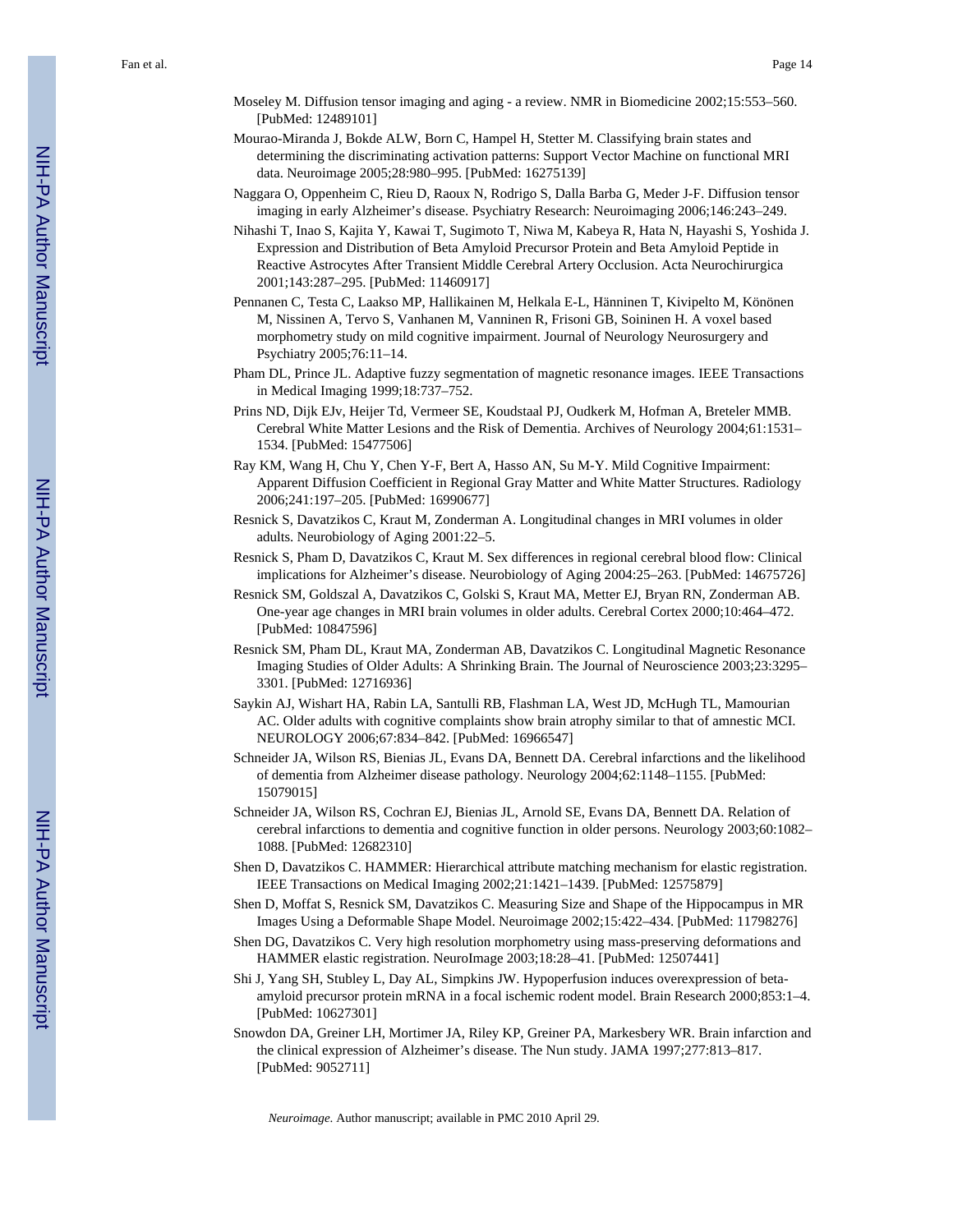- Moseley M. Diffusion tensor imaging and aging a review. NMR in Biomedicine 2002;15:553–560. [PubMed: 12489101]
- Mourao-Miranda J, Bokde ALW, Born C, Hampel H, Stetter M. Classifying brain states and determining the discriminating activation patterns: Support Vector Machine on functional MRI data. Neuroimage 2005;28:980–995. [PubMed: 16275139]
- Naggara O, Oppenheim C, Rieu D, Raoux N, Rodrigo S, Dalla Barba G, Meder J-F. Diffusion tensor imaging in early Alzheimer's disease. Psychiatry Research: Neuroimaging 2006;146:243–249.
- Nihashi T, Inao S, Kajita Y, Kawai T, Sugimoto T, Niwa M, Kabeya R, Hata N, Hayashi S, Yoshida J. Expression and Distribution of Beta Amyloid Precursor Protein and Beta Amyloid Peptide in Reactive Astrocytes After Transient Middle Cerebral Artery Occlusion. Acta Neurochirurgica 2001;143:287–295. [PubMed: 11460917]
- Pennanen C, Testa C, Laakso MP, Hallikainen M, Helkala E-L, Hänninen T, Kivipelto M, Könönen M, Nissinen A, Tervo S, Vanhanen M, Vanninen R, Frisoni GB, Soininen H. A voxel based morphometry study on mild cognitive impairment. Journal of Neurology Neurosurgery and Psychiatry 2005;76:11–14.
- Pham DL, Prince JL. Adaptive fuzzy segmentation of magnetic resonance images. IEEE Transactions in Medical Imaging 1999;18:737–752.
- Prins ND, Dijk EJv, Heijer Td, Vermeer SE, Koudstaal PJ, Oudkerk M, Hofman A, Breteler MMB. Cerebral White Matter Lesions and the Risk of Dementia. Archives of Neurology 2004;61:1531– 1534. [PubMed: 15477506]
- Ray KM, Wang H, Chu Y, Chen Y-F, Bert A, Hasso AN, Su M-Y. Mild Cognitive Impairment: Apparent Diffusion Coefficient in Regional Gray Matter and White Matter Structures. Radiology 2006;241:197–205. [PubMed: 16990677]
- Resnick S, Davatzikos C, Kraut M, Zonderman A. Longitudinal changes in MRI volumes in older adults. Neurobiology of Aging 2001:22–5.
- Resnick S, Pham D, Davatzikos C, Kraut M. Sex differences in regional cerebral blood flow: Clinical implications for Alzheimer's disease. Neurobiology of Aging 2004:25–263. [PubMed: 14675726]
- Resnick SM, Goldszal A, Davatzikos C, Golski S, Kraut MA, Metter EJ, Bryan RN, Zonderman AB. One-year age changes in MRI brain volumes in older adults. Cerebral Cortex 2000;10:464–472. [PubMed: 10847596]
- Resnick SM, Pham DL, Kraut MA, Zonderman AB, Davatzikos C. Longitudinal Magnetic Resonance Imaging Studies of Older Adults: A Shrinking Brain. The Journal of Neuroscience 2003;23:3295– 3301. [PubMed: 12716936]
- Saykin AJ, Wishart HA, Rabin LA, Santulli RB, Flashman LA, West JD, McHugh TL, Mamourian AC. Older adults with cognitive complaints show brain atrophy similar to that of amnestic MCI. NEUROLOGY 2006;67:834–842. [PubMed: 16966547]
- Schneider JA, Wilson RS, Bienias JL, Evans DA, Bennett DA. Cerebral infarctions and the likelihood of dementia from Alzheimer disease pathology. Neurology 2004;62:1148–1155. [PubMed: 15079015]
- Schneider JA, Wilson RS, Cochran EJ, Bienias JL, Arnold SE, Evans DA, Bennett DA. Relation of cerebral infarctions to dementia and cognitive function in older persons. Neurology 2003;60:1082– 1088. [PubMed: 12682310]
- Shen D, Davatzikos C. HAMMER: Hierarchical attribute matching mechanism for elastic registration. IEEE Transactions on Medical Imaging 2002;21:1421–1439. [PubMed: 12575879]
- Shen D, Moffat S, Resnick SM, Davatzikos C. Measuring Size and Shape of the Hippocampus in MR Images Using a Deformable Shape Model. Neuroimage 2002;15:422–434. [PubMed: 11798276]
- Shen DG, Davatzikos C. Very high resolution morphometry using mass-preserving deformations and HAMMER elastic registration. NeuroImage 2003;18:28–41. [PubMed: 12507441]
- Shi J, Yang SH, Stubley L, Day AL, Simpkins JW. Hypoperfusion induces overexpression of betaamyloid precursor protein mRNA in a focal ischemic rodent model. Brain Research 2000;853:1–4. [PubMed: 10627301]
- Snowdon DA, Greiner LH, Mortimer JA, Riley KP, Greiner PA, Markesbery WR. Brain infarction and the clinical expression of Alzheimer's disease. The Nun study. JAMA 1997;277:813–817. [PubMed: 9052711]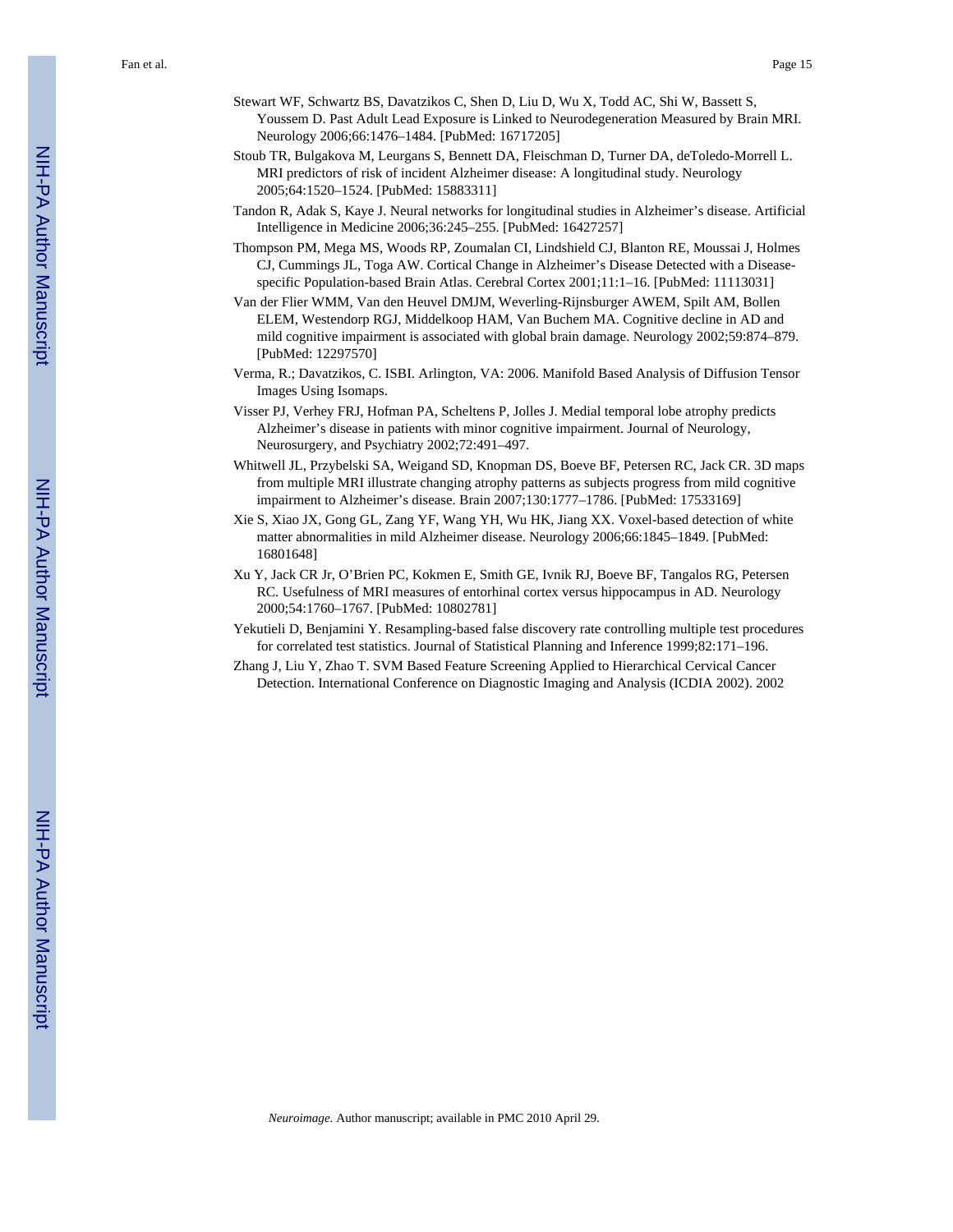- Stewart WF, Schwartz BS, Davatzikos C, Shen D, Liu D, Wu X, Todd AC, Shi W, Bassett S, Youssem D. Past Adult Lead Exposure is Linked to Neurodegeneration Measured by Brain MRI. Neurology 2006;66:1476–1484. [PubMed: 16717205]
- Stoub TR, Bulgakova M, Leurgans S, Bennett DA, Fleischman D, Turner DA, deToledo-Morrell L. MRI predictors of risk of incident Alzheimer disease: A longitudinal study. Neurology 2005;64:1520–1524. [PubMed: 15883311]
- Tandon R, Adak S, Kaye J. Neural networks for longitudinal studies in Alzheimer's disease. Artificial Intelligence in Medicine 2006;36:245–255. [PubMed: 16427257]
- Thompson PM, Mega MS, Woods RP, Zoumalan CI, Lindshield CJ, Blanton RE, Moussai J, Holmes CJ, Cummings JL, Toga AW. Cortical Change in Alzheimer's Disease Detected with a Diseasespecific Population-based Brain Atlas. Cerebral Cortex 2001;11:1–16. [PubMed: 11113031]
- Van der Flier WMM, Van den Heuvel DMJM, Weverling-Rijnsburger AWEM, Spilt AM, Bollen ELEM, Westendorp RGJ, Middelkoop HAM, Van Buchem MA. Cognitive decline in AD and mild cognitive impairment is associated with global brain damage. Neurology 2002;59:874–879. [PubMed: 12297570]
- Verma, R.; Davatzikos, C. ISBI. Arlington, VA: 2006. Manifold Based Analysis of Diffusion Tensor Images Using Isomaps.
- Visser PJ, Verhey FRJ, Hofman PA, Scheltens P, Jolles J. Medial temporal lobe atrophy predicts Alzheimer's disease in patients with minor cognitive impairment. Journal of Neurology, Neurosurgery, and Psychiatry 2002;72:491–497.
- Whitwell JL, Przybelski SA, Weigand SD, Knopman DS, Boeve BF, Petersen RC, Jack CR. 3D maps from multiple MRI illustrate changing atrophy patterns as subjects progress from mild cognitive impairment to Alzheimer's disease. Brain 2007;130:1777–1786. [PubMed: 17533169]
- Xie S, Xiao JX, Gong GL, Zang YF, Wang YH, Wu HK, Jiang XX. Voxel-based detection of white matter abnormalities in mild Alzheimer disease. Neurology 2006;66:1845–1849. [PubMed: 16801648]
- Xu Y, Jack CR Jr, O'Brien PC, Kokmen E, Smith GE, Ivnik RJ, Boeve BF, Tangalos RG, Petersen RC. Usefulness of MRI measures of entorhinal cortex versus hippocampus in AD. Neurology 2000;54:1760–1767. [PubMed: 10802781]
- Yekutieli D, Benjamini Y. Resampling-based false discovery rate controlling multiple test procedures for correlated test statistics. Journal of Statistical Planning and Inference 1999;82:171–196.
- Zhang J, Liu Y, Zhao T. SVM Based Feature Screening Applied to Hierarchical Cervical Cancer Detection. International Conference on Diagnostic Imaging and Analysis (ICDIA 2002). 2002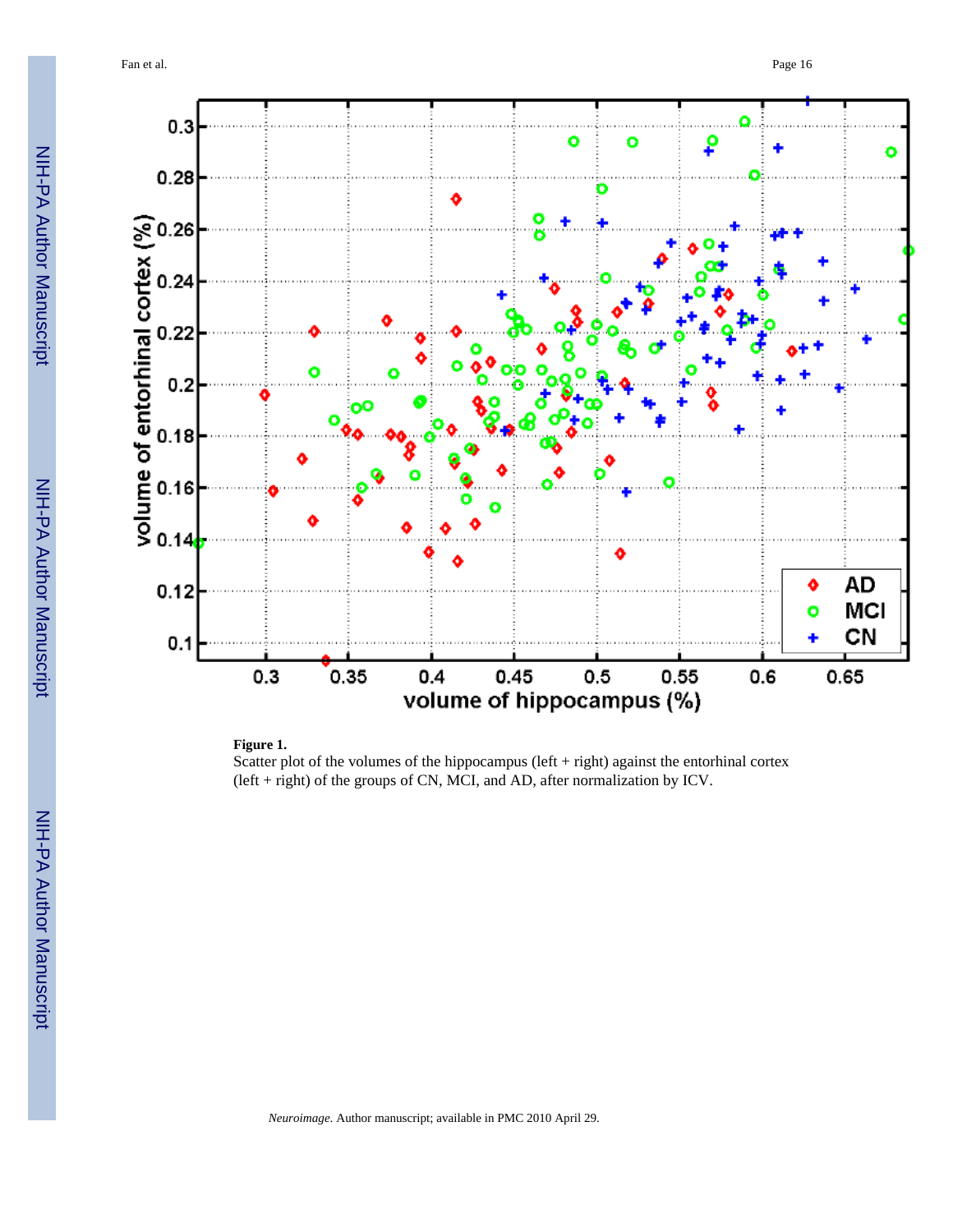Fan et al. Page 16



## **Figure 1.**

Scatter plot of the volumes of the hippocampus (left + right) against the entorhinal cortex (left + right) of the groups of CN, MCI, and AD, after normalization by ICV.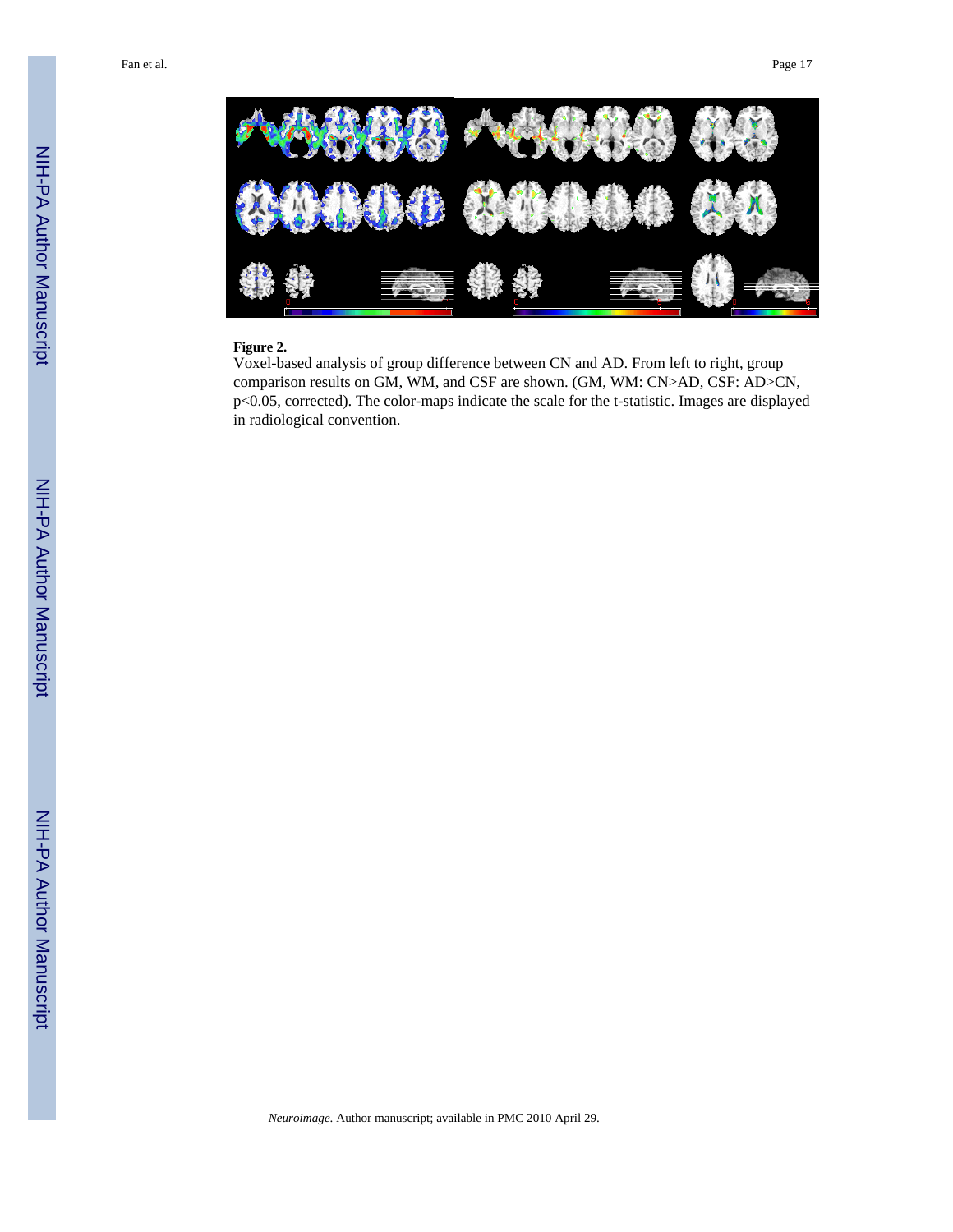

## **Figure 2.**

Voxel-based analysis of group difference between CN and AD. From left to right, group comparison results on GM, WM, and CSF are shown. (GM, WM: CN>AD, CSF: AD>CN, p<0.05, corrected). The color-maps indicate the scale for the t-statistic. Images are displayed in radiological convention.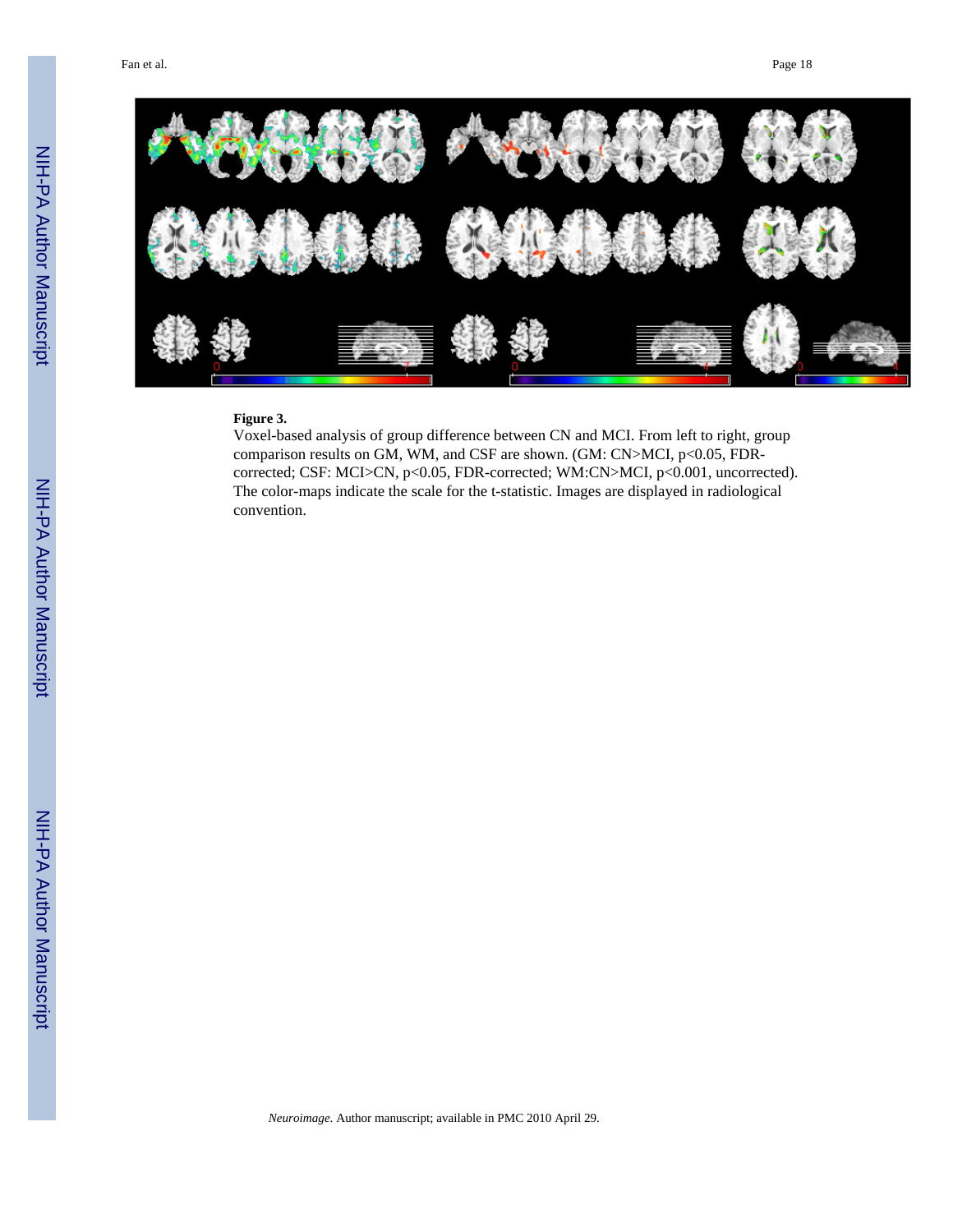

#### **Figure 3.**

Voxel-based analysis of group difference between CN and MCI. From left to right, group comparison results on GM, WM, and CSF are shown. (GM: CN>MCI, p<0.05, FDRcorrected; CSF: MCI>CN, p<0.05, FDR-corrected; WM:CN>MCI, p<0.001, uncorrected). The color-maps indicate the scale for the t-statistic. Images are displayed in radiological convention.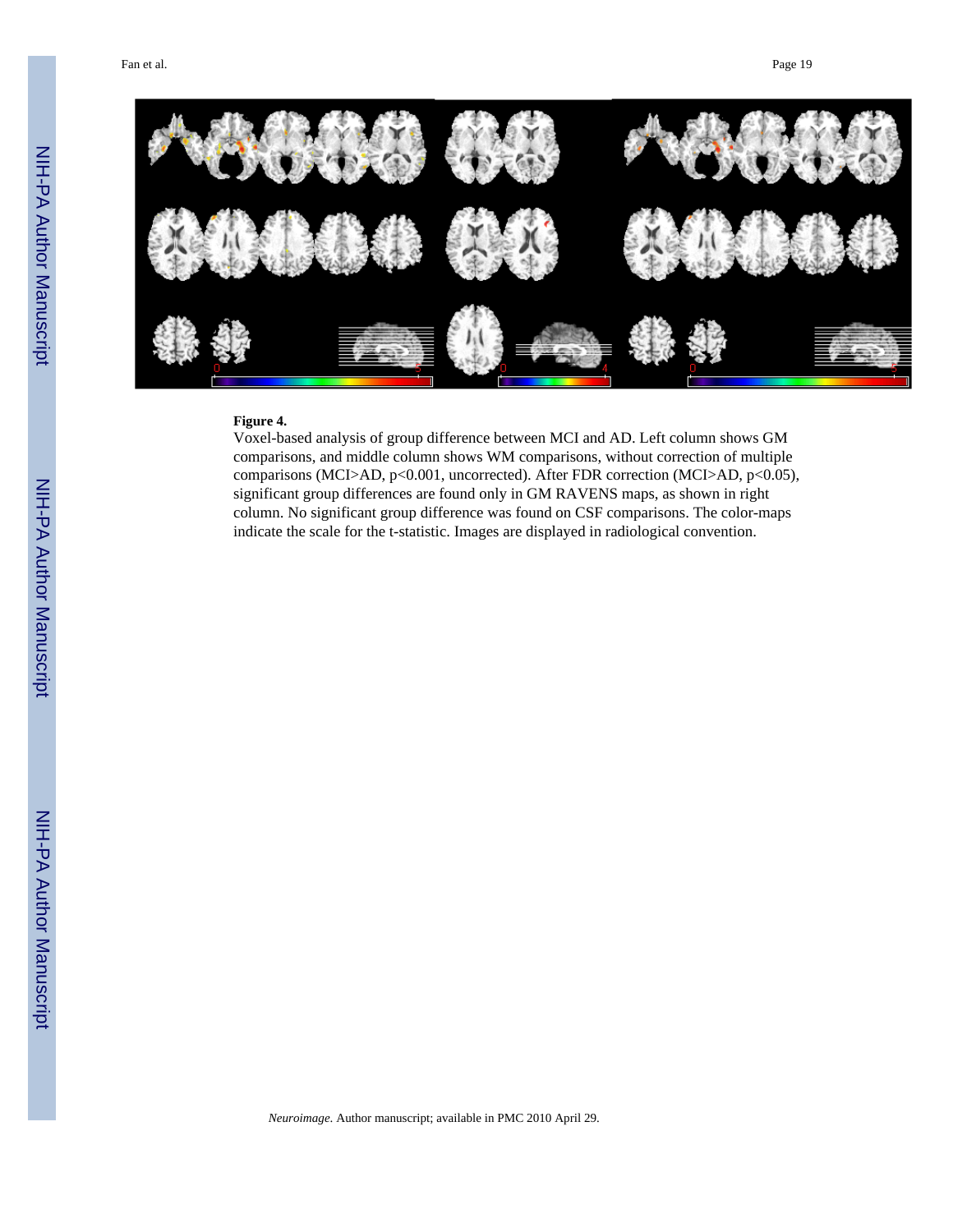

#### **Figure 4.**

Voxel-based analysis of group difference between MCI and AD. Left column shows GM comparisons, and middle column shows WM comparisons, without correction of multiple comparisons (MCI>AD, p<0.001, uncorrected). After FDR correction (MCI>AD, p<0.05), significant group differences are found only in GM RAVENS maps, as shown in right column. No significant group difference was found on CSF comparisons. The color-maps indicate the scale for the t-statistic. Images are displayed in radiological convention.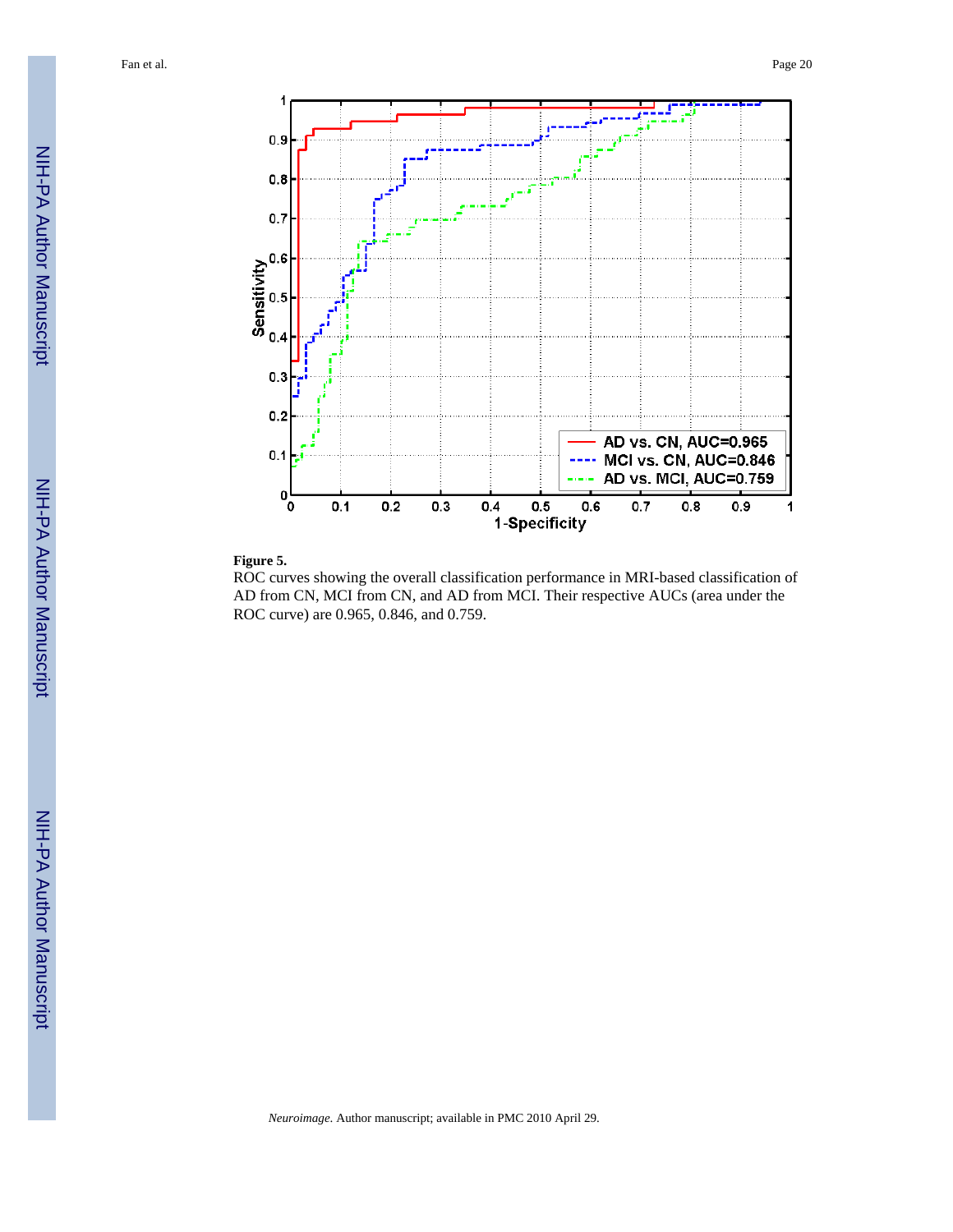



ROC curves showing the overall classification performance in MRI-based classification of AD from CN, MCI from CN, and AD from MCI. Their respective AUCs (area under the ROC curve) are 0.965, 0.846, and 0.759.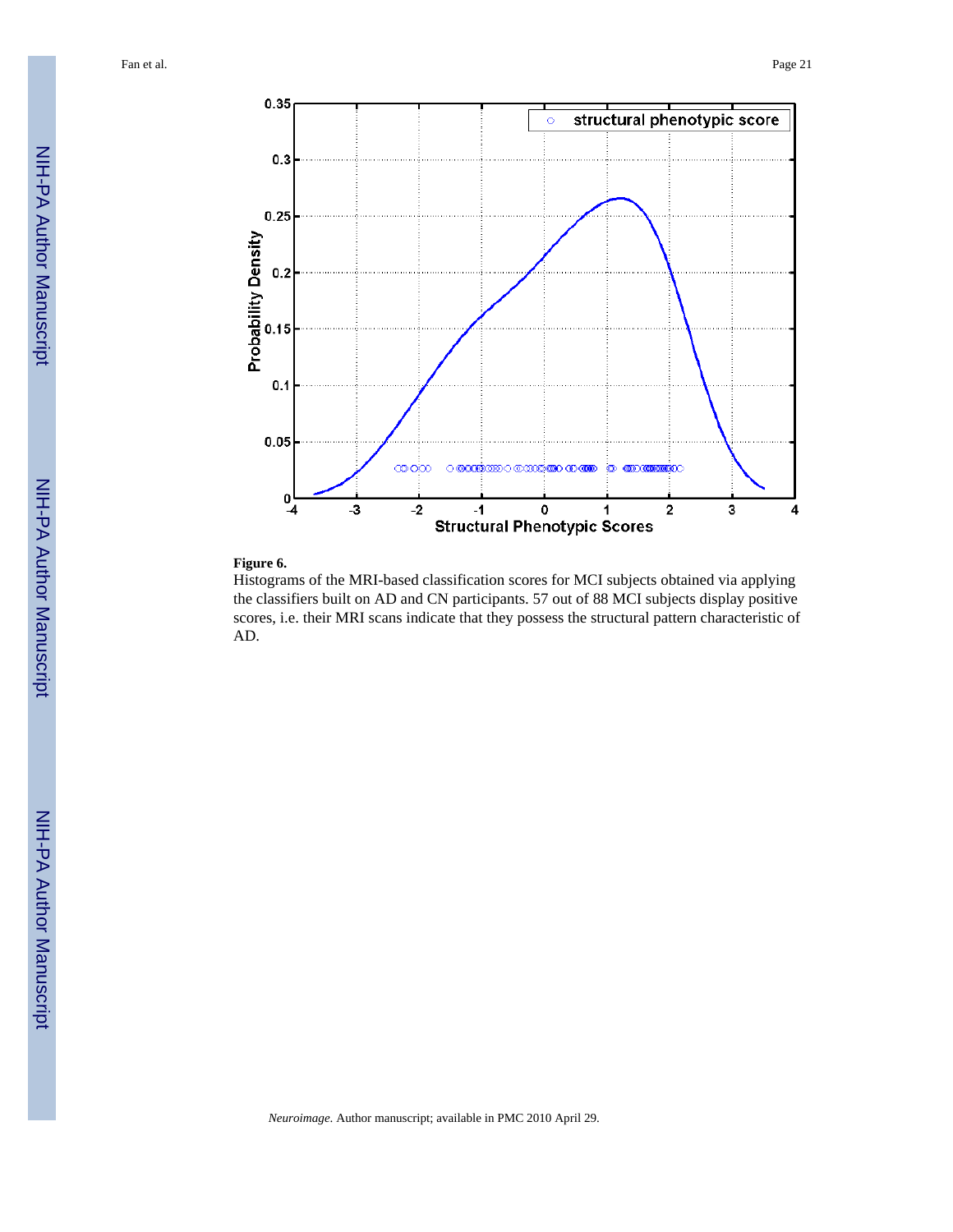

## **Figure 6.**

Histograms of the MRI-based classification scores for MCI subjects obtained via applying the classifiers built on AD and CN participants. 57 out of 88 MCI subjects display positive scores, i.e. their MRI scans indicate that they possess the structural pattern characteristic of AD.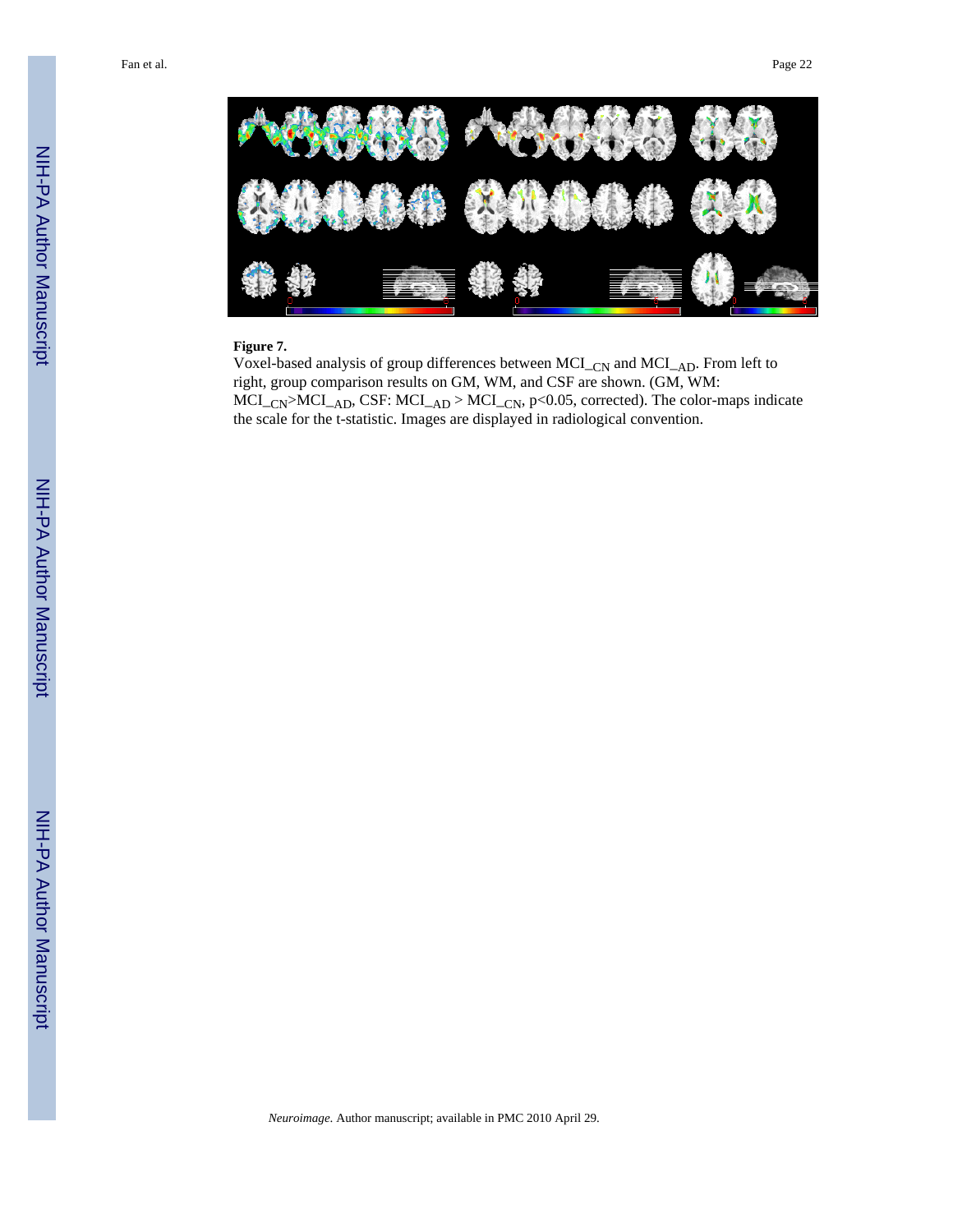

## **Figure 7.**

Voxel-based analysis of group differences between MCI\_CN and MCI\_AD. From left to right, group comparison results on GM, WM, and CSF are shown. (GM, WM:  $MCI_{\text{C}N} > MCI_{\text{AD}}$ , CSF:  $MCI_{\text{AD}} > MCI_{\text{C}N}$ , p<0.05, corrected). The color-maps indicate the scale for the t-statistic. Images are displayed in radiological convention.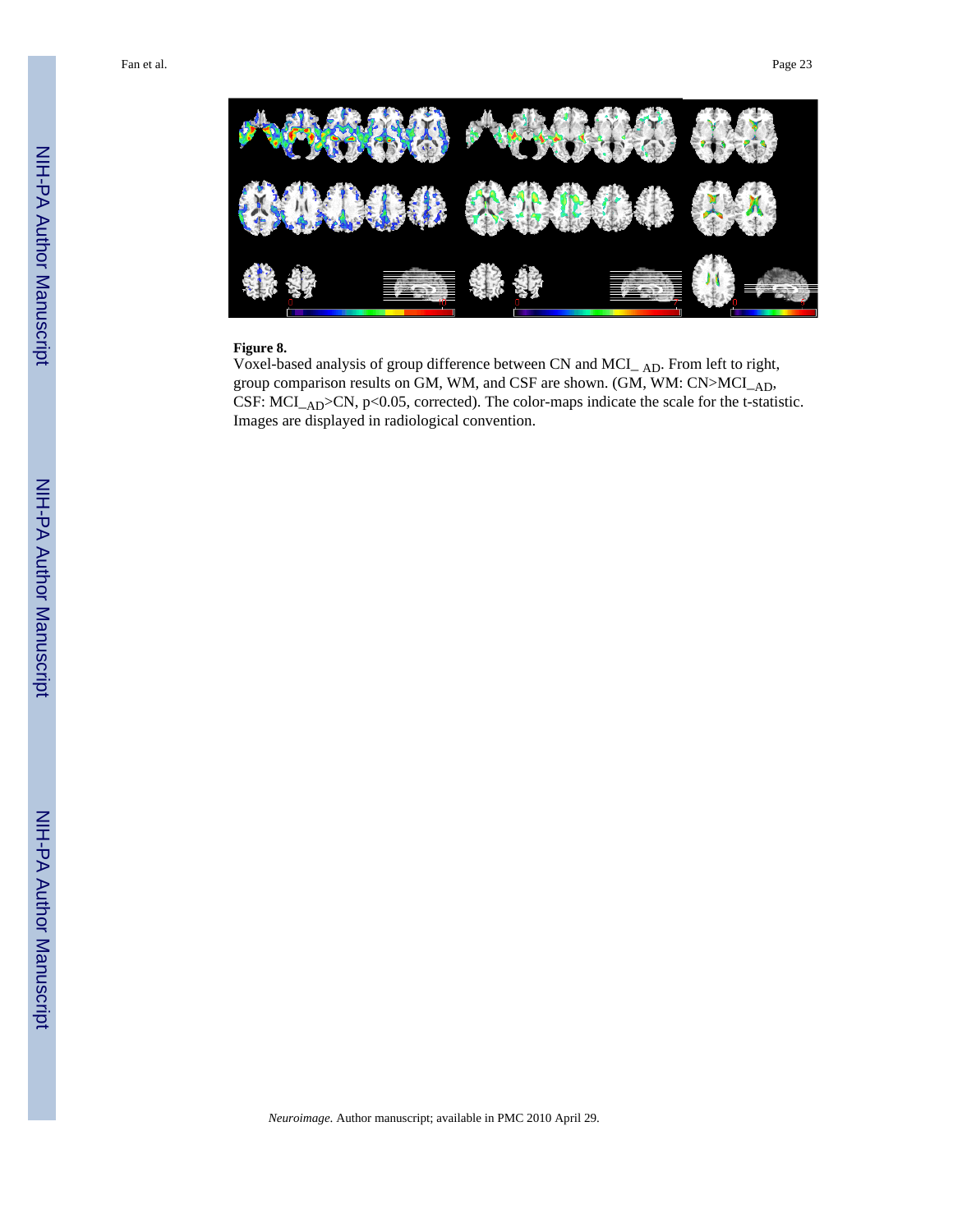

## **Figure 8.**

Voxel-based analysis of group difference between CN and MCI\_ AD. From left to right, group comparison results on GM, WM, and CSF are shown. (GM, WM: CN>MCI\_AD, CSF: MCI\_AD>CN, p<0.05, corrected). The color-maps indicate the scale for the t-statistic. Images are displayed in radiological convention.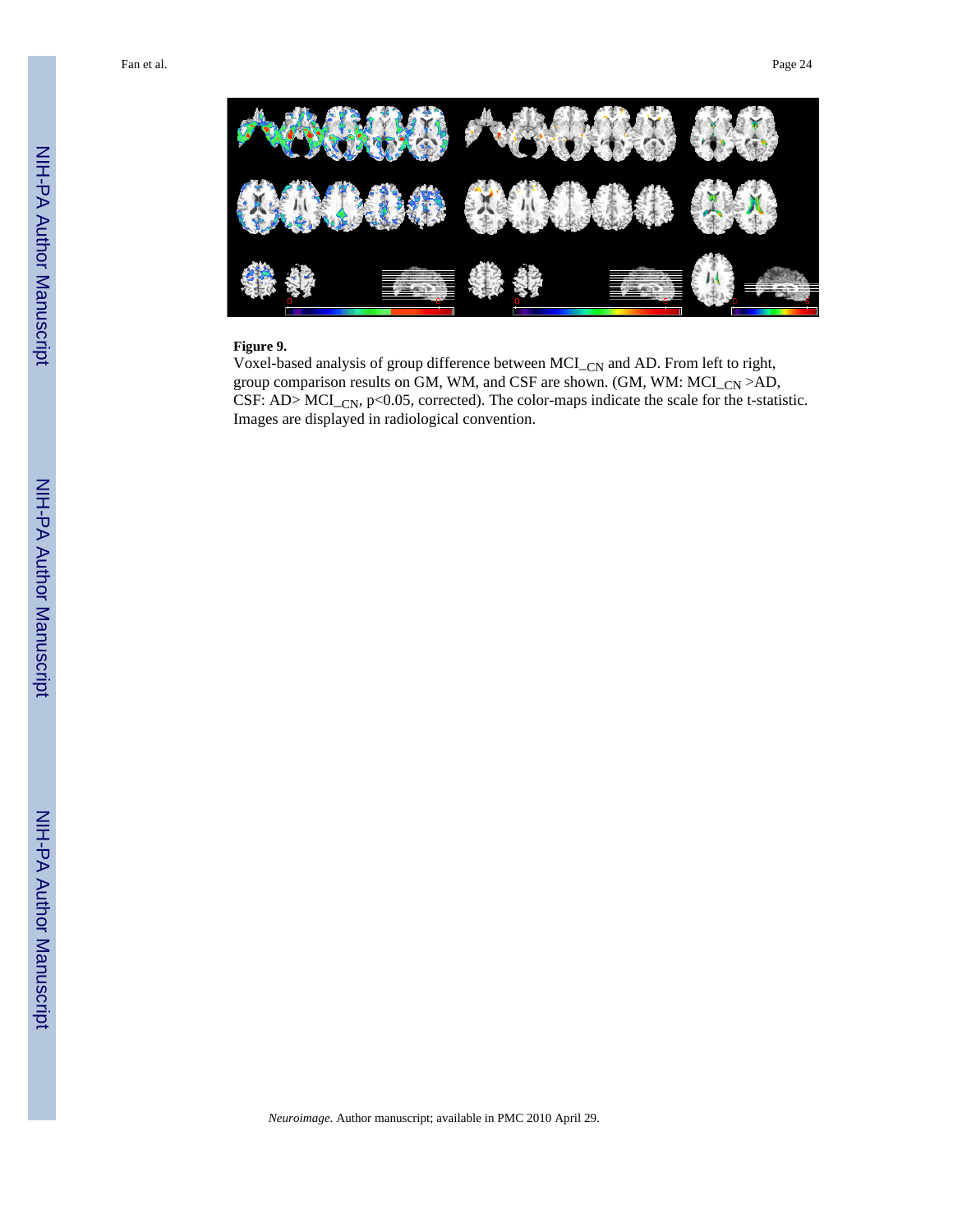

## **Figure 9.**

Voxel-based analysis of group difference between MCI\_CN and AD. From left to right, group comparison results on GM, WM, and CSF are shown. (GM, WM: MCI\_CN >AD, CSF: AD> MCI\_<sub>CN</sub>, p<0.05, corrected). The color-maps indicate the scale for the t-statistic. Images are displayed in radiological convention.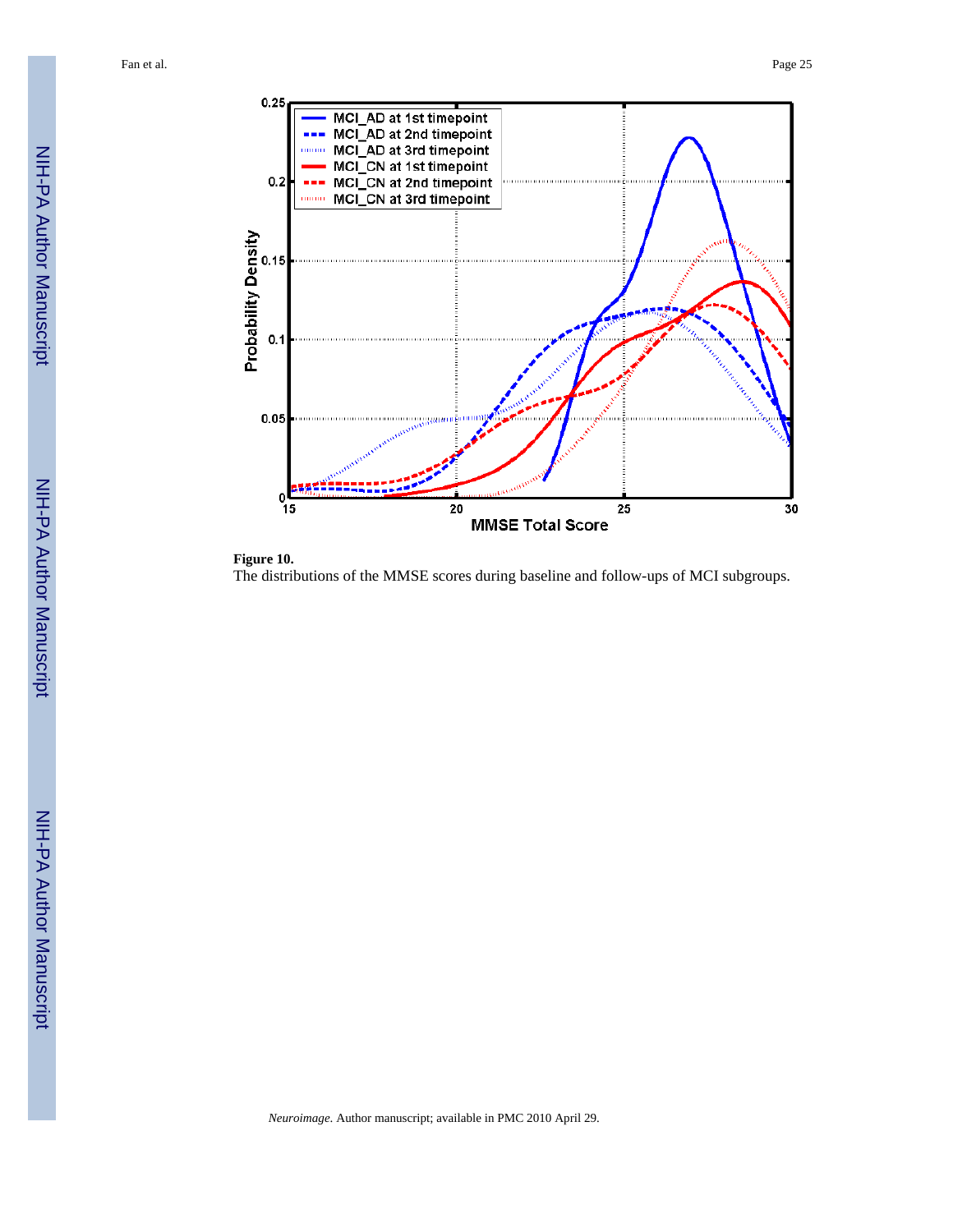Fan et al. Page 25



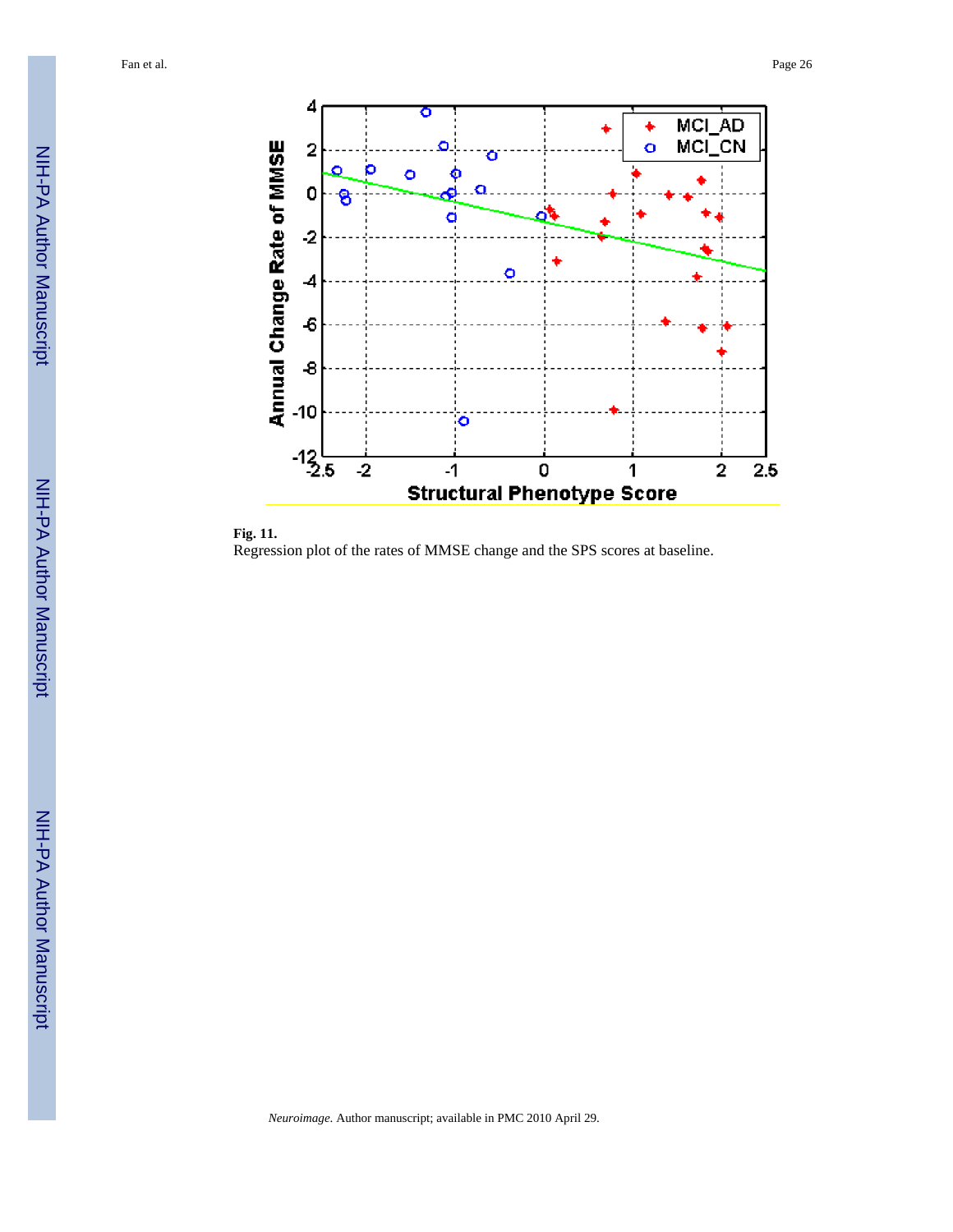



Regression plot of the rates of MMSE change and the SPS scores at baseline.